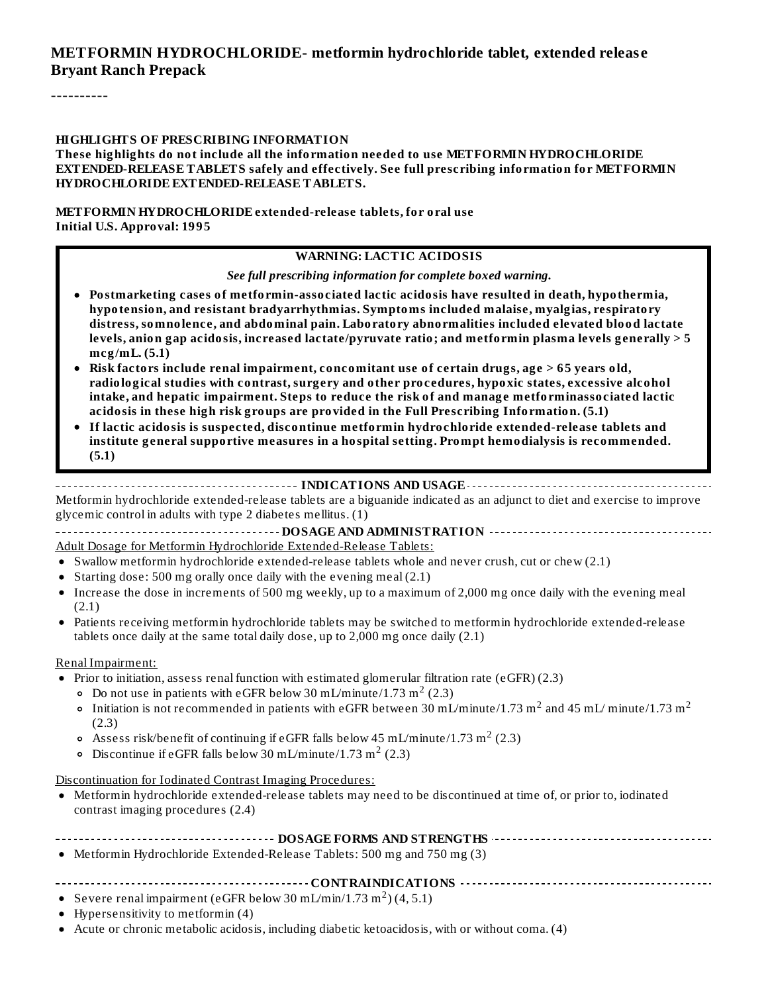#### **METFORMIN HYDROCHLORIDE- metformin hydrochloride tablet, extended releas e Bryant Ranch Prepack**

----------

#### **HIGHLIGHTS OF PRESCRIBING INFORMATION**

**These highlights do not include all the information needed to use METFORMIN HYDROCHLORIDE EXTENDED-RELEASE TABLETS safely and effectively. See full prescribing information for METFORMIN HYDROCHLORIDE EXTENDED-RELEASE TABLETS.**

**METFORMIN HYDROCHLORIDE extended-release tablets, for oral use Initial U.S. Approval: 1995**

#### **WARNING: LACTIC ACIDOSIS**

*See full prescribing information for complete boxed warning.*

- **Postmarketing cases of metformin-associated lactic acidosis have resulted in death, hypothermia, hypotension, and resistant bradyarrhythmias. Symptoms included malaise, myalgias, respiratory distress, somnolence, and abdominal pain. Laboratory abnormalities included elevated blood lactate levels, anion gap acidosis, increased lactate/pyruvate ratio; and metformin plasma levels generally > 5 mcg/mL. (5.1)**
- **Risk factors include renal impairment, concomitant use of certain drugs, age > 65 years old, radiological studies with contrast, surgery and other procedures, hypoxic states, excessive alcohol intake, and hepatic impairment. Steps to reduce the risk of and manage metforminassociated lactic acidosis in these high risk groups are provided in the Full Prescribing Information. (5.1)**
- **If lactic acidosis is suspected, discontinue metformin hydrochloride extended-release tablets and institute general supportive measures in a hospital setting. Prompt hemodialysis is recommended. (5.1)**

#### **INDICATIONS AND USAGE INDICATIONS AND USAGE** *CONSIDERATIONS* **AND USAGE** *AND* **USAGE** *AND* **USAGE** *AND*

Metformin hydrochloride extended-release tablets are a biguanide indicated as an adjunct to diet and exercise to improve glycemic control in adults with type 2 diabetes mellitus. (1)

**DOSAGE AND ADMINISTRATION** Adult Dosage for Metformin Hydrochloride Extended-Release Tablets:

- Swallow metformin hydrochloride extended-release tablets whole and never crush, cut or chew (2.1)
- Starting dose: 500 mg orally once daily with the evening meal  $(2.1)$
- Increase the dose in increments of 500 mg weekly, up to a maximum of 2,000 mg once daily with the evening meal (2.1)
- Patients receiving metformin hydrochloride tablets may be switched to metformin hydrochloride extended-release  $\bullet$ tablets once daily at the same total daily dose, up to 2,000 mg once daily (2.1)

#### Renal Impairment:

- Prior to initiation, assess renal function with estimated glomerular filtration rate (eGFR) (2.3)
	- Do not use in patients with eGFR below 30 mL/minute/1.73  $\mathrm{m}^2$  (2.3)
	- Initiation is not recommended in patients with eGFR between 30 mL/minute/1.73 m<sup>2</sup> and 45 mL/ minute/1.73 m<sup>2</sup> (2.3)
	- Assess risk/benefit of continuing if eGFR falls below 45 mL/minute/1.73 m $^2$  (2.3)
	- Discontinue if eGFR falls below 30 mL/minute/1.73 m<sup>2</sup> (2.3)

Discontinuation for Iodinated Contrast Imaging Procedures:

Metformin hydrochloride extended-release tablets may need to be discontinued at time of, or prior to, iodinated contrast imaging procedures (2.4)

| $\mathbf{M} \times \mathbf{C}$ $\mathbf{M} \times \mathbf{M}$ $\mathbf{M} \times \mathbf{M}$ $\mathbf{M} \times \mathbf{M}$ $\mathbf{M} \times \mathbf{M}$ $\mathbf{M} \times \mathbf{M}$ $\mathbf{M} \times \mathbf{M}$ $\mathbf{M} \times \mathbf{M}$ $\mathbf{M} \times \mathbf{M}$ $\mathbf{M} \times \mathbf{M}$ $\mathbf{M} \times \mathbf{M}$ $\mathbf{M} \times \mathbf{M}$ $\mathbf{M} \times \mathbf{M}$ |
|--------------------------------------------------------------------------------------------------------------------------------------------------------------------------------------------------------------------------------------------------------------------------------------------------------------------------------------------------------------------------------------------------------------------|

Metformin Hydrochloride Extended-Release Tablets: 500 mg and 750 mg (3)

```
CONTRAINDICATIONS
```
- Severe renal impairment (eGFR below 30 mL/min/1.73 m<sup>2</sup>) (4, 5.1)
- Hypersensitivity to metformin (4)
- Acute or chronic metabolic acidosis, including diabetic ketoacidosis, with or without coma. (4)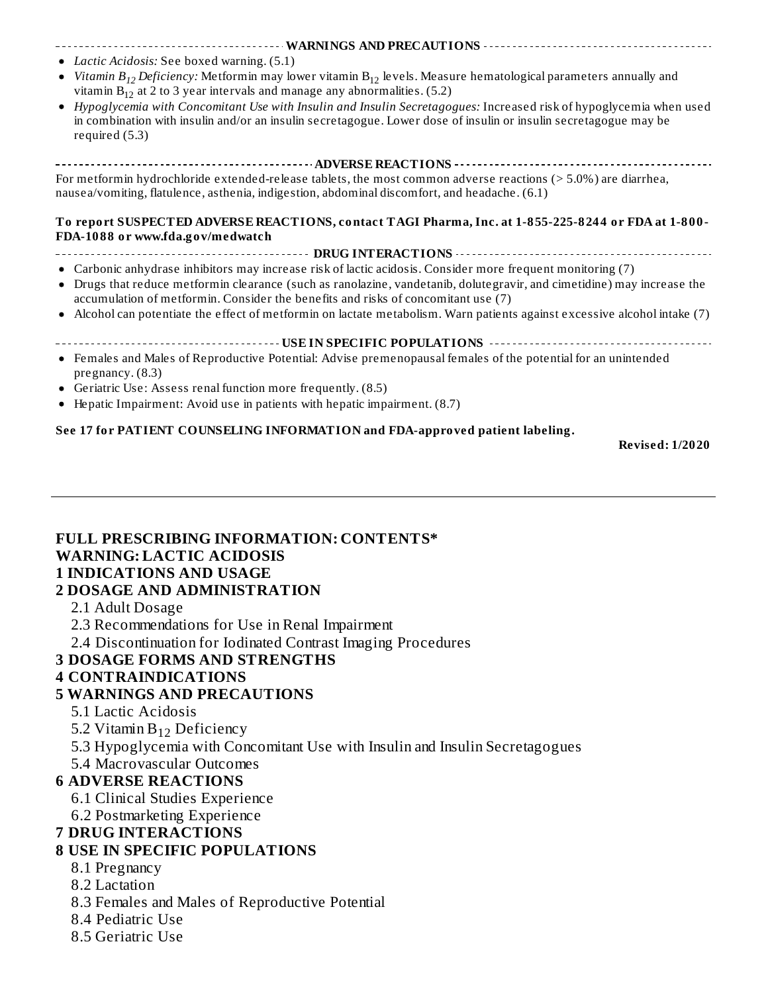#### **WARNINGS AND PRECAUTIONS**

- *Lactic Acidosis:* See boxed warning. (5.1)
- *Vitamin B<sub>12</sub> Deficiency: M*etformin may lower vitamin B<sub>12</sub> levels. Measure hematological parameters annually and vitamin  $B_{12}$  at 2 to 3 year intervals and manage any abnormalities. (5.2)
- *Hypoglycemia with Concomitant Use with Insulin and Insulin Secretagogues:* Increased risk of hypoglycemia when used  $\bullet$ in combination with insulin and/or an insulin secretagogue. Lower dose of insulin or insulin secretagogue may be required (5.3)

#### **ADVERSE REACTIONS**

For metformin hydrochloride extended-release tablets, the most common adverse reactions (> 5.0%) are diarrhea, nausea/vomiting, flatulence, asthenia, indigestion, abdominal discomfort, and headache. (6.1)

#### **To report SUSPECTED ADVERSE REACTIONS, contact TAGI Pharma, Inc. at 1-855-225-8244 or FDA at 1-800- FDA-1088 or www.fda.gov/medwatch**

#### **DRUG INTERACTIONS**

- Carbonic anhydrase inhibitors may increase risk of lactic acidosis. Consider more frequent monitoring (7)
- Drugs that reduce metformin clearance (such as ranolazine, vandetanib, dolutegravir, and cimetidine) may increase the accumulation of metformin. Consider the benefits and risks of concomitant use (7)
- $\bullet$ Alcohol can potentiate the effect of metformin on lactate metabolism. Warn patients against excessive alcohol intake (7)

#### **USE IN SPECIFIC POPULATIONS**

- Females and Males of Reproductive Potential: Advise premenopausal females of the potential for an unintended pregnancy. (8.3)
- Geriatric Use: Assess renal function more frequently. (8.5)
- Hepatic Impairment: Avoid use in patients with hepatic impairment. (8.7)

#### **See 17 for PATIENT COUNSELING INFORMATION and FDA-approved patient labeling.**

**Revised: 1/2020**

### **FULL PRESCRIBING INFORMATION: CONTENTS\* WARNING: LACTIC ACIDOSIS 1 INDICATIONS AND USAGE**

#### **2 DOSAGE AND ADMINISTRATION**

- 2.1 Adult Dosage
- 2.3 Recommendations for Use in Renal Impairment
- 2.4 Discontinuation for Iodinated Contrast Imaging Procedures

#### **3 DOSAGE FORMS AND STRENGTHS**

#### **4 CONTRAINDICATIONS**

#### **5 WARNINGS AND PRECAUTIONS**

- 5.1 Lactic Acidosis
- 5.2 Vitamin  $B_{12}$  Deficiency
- 5.3 Hypoglycemia with Concomitant Use with Insulin and Insulin Secretagogues
- 5.4 Macrovascular Outcomes

#### **6 ADVERSE REACTIONS**

- 6.1 Clinical Studies Experience
- 6.2 Postmarketing Experience

#### **7 DRUG INTERACTIONS**

#### **8 USE IN SPECIFIC POPULATIONS**

- 8.1 Pregnancy
- 8.2 Lactation
- 8.3 Females and Males of Reproductive Potential
- 8.4 Pediatric Use
- 8.5 Geriatric Use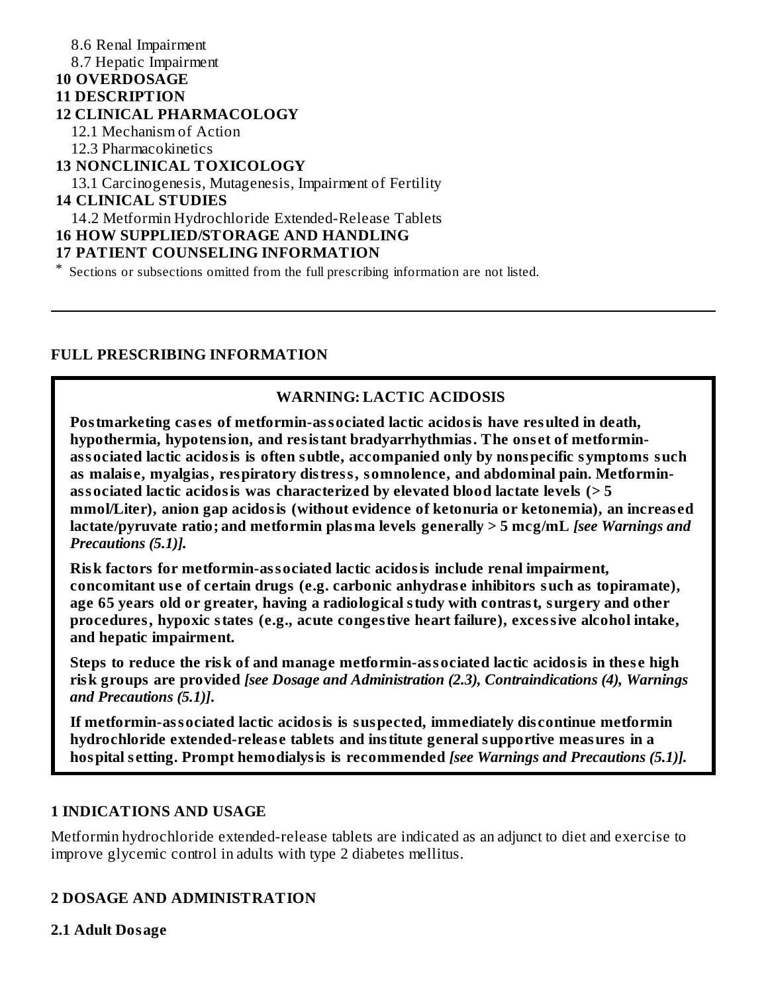#### 8.6 Renal Impairment 8.7 Hepatic Impairment **10 OVERDOSAGE 11 DESCRIPTION 12 CLINICAL PHARMACOLOGY** 12.1 Mechanism of Action 12.3 Pharmacokinetics **13 NONCLINICAL TOXICOLOGY** 13.1 Carcinogenesis, Mutagenesis, Impairment of Fertility **14 CLINICAL STUDIES** 14.2 Metformin Hydrochloride Extended-Release Tablets **16 HOW SUPPLIED/STORAGE AND HANDLING 17 PATIENT COUNSELING INFORMATION**

\* Sections or subsections omitted from the full prescribing information are not listed.

#### **FULL PRESCRIBING INFORMATION**

#### **WARNING: LACTIC ACIDOSIS**

**Postmarketing cas es of metformin-associated lactic acidosis have resulted in death, hypothermia, hypotension, and resistant bradyarrhythmias. The ons et of metforminassociated lactic acidosis is often subtle, accompanied only by nonspecific symptoms such as malais e, myalgias, respiratory distress, somnolence, and abdominal pain. Metforminassociated lactic acidosis was characterized by elevated blood lactate levels (> 5 mmol/Liter), anion gap acidosis (without evidence of ketonuria or ketonemia), an increas ed lactate/pyruvate ratio; and metformin plasma levels generally > 5 mcg/mL** *[see Warnings and Precautions (5.1)].*

**Risk factors for metformin-associated lactic acidosis include renal impairment, concomitant us e of certain drugs (e.g. carbonic anhydras e inhibitors such as topiramate), age 65 years old or greater, having a radiological study with contrast, surgery and other procedures, hypoxic states (e.g., acute congestive heart failure), excessive alcohol intake, and hepatic impairment.**

**Steps to reduce the risk of and manage metformin-associated lactic acidosis in thes e high risk groups are provided** *[see Dosage and Administration (2.3), Contraindications (4), Warnings and Precautions (5.1)]***.**

**If metformin-associated lactic acidosis is suspected, immediately dis continue metformin hydrochloride extended-releas e tablets and institute general supportive measures in a hospital s etting. Prompt hemodialysis is recommended** *[see Warnings and Precautions (5.1)].*

#### **1 INDICATIONS AND USAGE**

Metformin hydrochloride extended-release tablets are indicated as an adjunct to diet and exercise to improve glycemic control in adults with type 2 diabetes mellitus.

#### **2 DOSAGE AND ADMINISTRATION**

#### **2.1 Adult Dosage**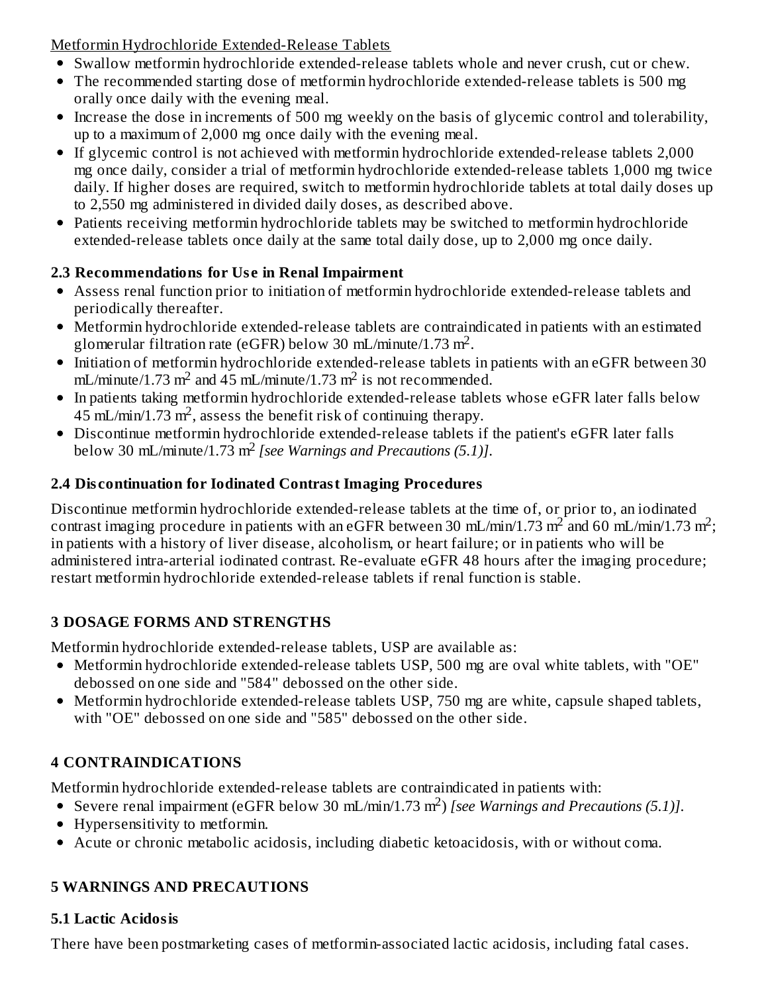Metformin Hydrochloride Extended-Release Tablets

- Swallow metformin hydrochloride extended-release tablets whole and never crush, cut or chew.
- The recommended starting dose of metformin hydrochloride extended-release tablets is 500 mg orally once daily with the evening meal.
- Increase the dose in increments of 500 mg weekly on the basis of glycemic control and tolerability, up to a maximum of 2,000 mg once daily with the evening meal.
- If glycemic control is not achieved with metformin hydrochloride extended-release tablets 2,000 mg once daily, consider a trial of metformin hydrochloride extended-release tablets 1,000 mg twice daily. If higher doses are required, switch to metformin hydrochloride tablets at total daily doses up to 2,550 mg administered in divided daily doses, as described above.
- Patients receiving metformin hydrochloride tablets may be switched to metformin hydrochloride extended-release tablets once daily at the same total daily dose, up to 2,000 mg once daily.

# **2.3 Recommendations for Us e in Renal Impairment**

- Assess renal function prior to initiation of metformin hydrochloride extended-release tablets and periodically thereafter.
- Metformin hydrochloride extended-release tablets are contraindicated in patients with an estimated glomerular filtration rate (eGFR) below 30 mL/minute/1.73 m<sup>2</sup>.
- Initiation of metformin hydrochloride extended-release tablets in patients with an eGFR between 30 mL/minute/1.73 m<sup>2</sup> and 45 mL/minute/1.73 m<sup>2</sup> is not recommended.
- In patients taking metformin hydrochloride extended-release tablets whose eGFR later falls below  $45$  mL/min/1.73 m<sup>2</sup>, assess the benefit risk of continuing therapy.
- Discontinue metformin hydrochloride extended-release tablets if the patient's eGFR later falls below 30 mL/minute/1.73 m<sup>2</sup> [see Warnings and Precautions (5.1)].

# **2.4 Dis continuation for Iodinated Contrast Imaging Procedures**

Discontinue metformin hydrochloride extended-release tablets at the time of, or prior to, an iodinated contrast imaging procedure in patients with an eGFR between 30 mL/min/1.73 m<sup>2</sup> and 60 mL/min/1.73 m<sup>2</sup>; in patients with a history of liver disease, alcoholism, or heart failure; or in patients who will be administered intra-arterial iodinated contrast. Re-evaluate eGFR 48 hours after the imaging procedure; restart metformin hydrochloride extended-release tablets if renal function is stable.

# **3 DOSAGE FORMS AND STRENGTHS**

Metformin hydrochloride extended-release tablets, USP are available as:

- Metformin hydrochloride extended-release tablets USP, 500 mg are oval white tablets, with "OE" debossed on one side and "584" debossed on the other side.
- Metformin hydrochloride extended-release tablets USP, 750 mg are white, capsule shaped tablets, with "OE" debossed on one side and "585" debossed on the other side.

# **4 CONTRAINDICATIONS**

Metformin hydrochloride extended-release tablets are contraindicated in patients with:

- Severe renal impairment (eGFR below 30 mL/min/1.73 m<sup>2</sup>) [see Warnings and Precautions (5.1)].
- Hypersensitivity to metformin.
- Acute or chronic metabolic acidosis, including diabetic ketoacidosis, with or without coma.

# **5 WARNINGS AND PRECAUTIONS**

# **5.1 Lactic Acidosis**

There have been postmarketing cases of metformin-associated lactic acidosis, including fatal cases.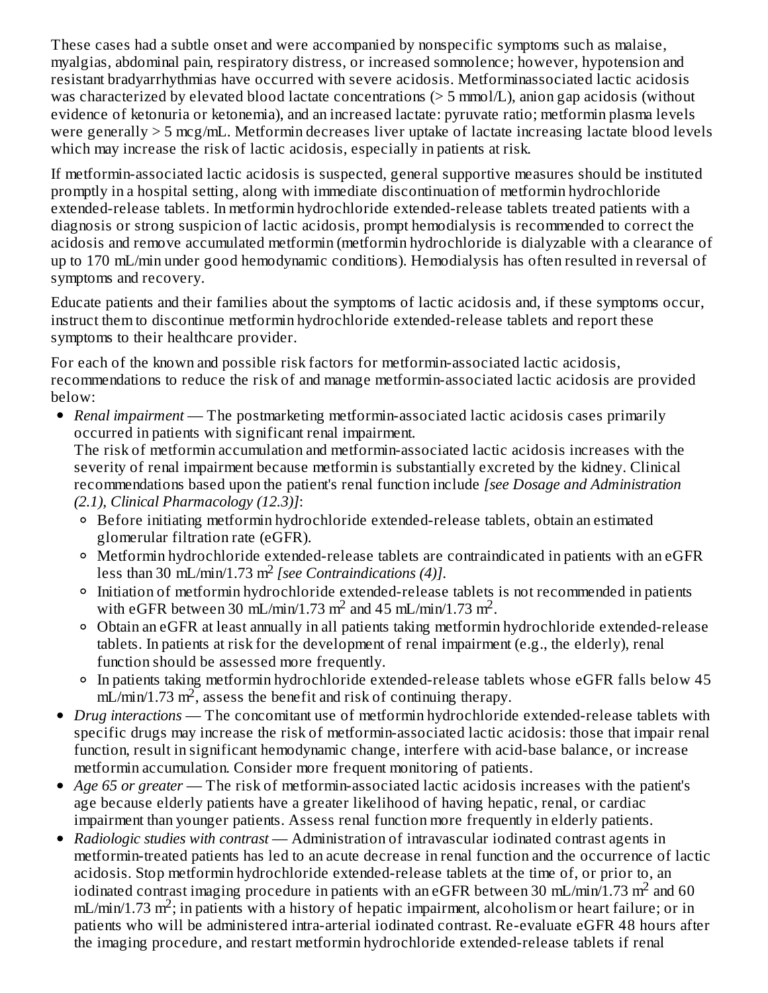These cases had a subtle onset and were accompanied by nonspecific symptoms such as malaise, myalgias, abdominal pain, respiratory distress, or increased somnolence; however, hypotension and resistant bradyarrhythmias have occurred with severe acidosis. Metforminassociated lactic acidosis was characterized by elevated blood lactate concentrations (> 5 mmol/L), anion gap acidosis (without evidence of ketonuria or ketonemia), and an increased lactate: pyruvate ratio; metformin plasma levels were generally > 5 mcg/mL. Metformin decreases liver uptake of lactate increasing lactate blood levels which may increase the risk of lactic acidosis, especially in patients at risk.

If metformin-associated lactic acidosis is suspected, general supportive measures should be instituted promptly in a hospital setting, along with immediate discontinuation of metformin hydrochloride extended-release tablets. In metformin hydrochloride extended-release tablets treated patients with a diagnosis or strong suspicion of lactic acidosis, prompt hemodialysis is recommended to correct the acidosis and remove accumulated metformin (metformin hydrochloride is dialyzable with a clearance of up to 170 mL/min under good hemodynamic conditions). Hemodialysis has often resulted in reversal of symptoms and recovery.

Educate patients and their families about the symptoms of lactic acidosis and, if these symptoms occur, instruct them to discontinue metformin hydrochloride extended-release tablets and report these symptoms to their healthcare provider.

For each of the known and possible risk factors for metformin-associated lactic acidosis, recommendations to reduce the risk of and manage metformin-associated lactic acidosis are provided below:

*Renal impairment* — The postmarketing metformin-associated lactic acidosis cases primarily occurred in patients with significant renal impairment.

The risk of metformin accumulation and metformin-associated lactic acidosis increases with the severity of renal impairment because metformin is substantially excreted by the kidney. Clinical recommendations based upon the patient's renal function include *[see Dosage and Administration (2.1), Clinical Pharmacology (12.3)]*:

- Before initiating metformin hydrochloride extended-release tablets, obtain an estimated glomerular filtration rate (eGFR).
- Metformin hydrochloride extended-release tablets are contraindicated in patients with an eGFR less than 30 mL/min/1.73 m<sup>2</sup> [see *Contraindications* (4)].
- Initiation of metformin hydrochloride extended-release tablets is not recommended in patients with eGFR between 30 mL/min/1.73 m<sup>2</sup> and 45 mL/min/1.73 m<sup>2</sup>.
- Obtain an eGFR at least annually in all patients taking metformin hydrochloride extended-release tablets. In patients at risk for the development of renal impairment (e.g., the elderly), renal function should be assessed more frequently.
- In patients taking metformin hydrochloride extended-release tablets whose eGFR falls below 45  $mL/min/1.73 m<sup>2</sup>$ , assess the benefit and risk of continuing therapy.
- *Drug interactions* The concomitant use of metformin hydrochloride extended-release tablets with specific drugs may increase the risk of metformin-associated lactic acidosis: those that impair renal function, result in significant hemodynamic change, interfere with acid-base balance, or increase metformin accumulation. Consider more frequent monitoring of patients.
- *Age 65 or greater* The risk of metformin-associated lactic acidosis increases with the patient's age because elderly patients have a greater likelihood of having hepatic, renal, or cardiac impairment than younger patients. Assess renal function more frequently in elderly patients.
- *Radiologic studies with contrast* Administration of intravascular iodinated contrast agents in metformin-treated patients has led to an acute decrease in renal function and the occurrence of lactic acidosis. Stop metformin hydrochloride extended-release tablets at the time of, or prior to, an iodinated contrast imaging procedure in patients with an eGFR between 30 mL/min/1.73 m<sup>2</sup> and 60  $mL/min/1.73 m<sup>2</sup>$ ; in patients with a history of hepatic impairment, alcoholism or heart failure; or in patients who will be administered intra-arterial iodinated contrast. Re-evaluate eGFR 48 hours after the imaging procedure, and restart metformin hydrochloride extended-release tablets if renal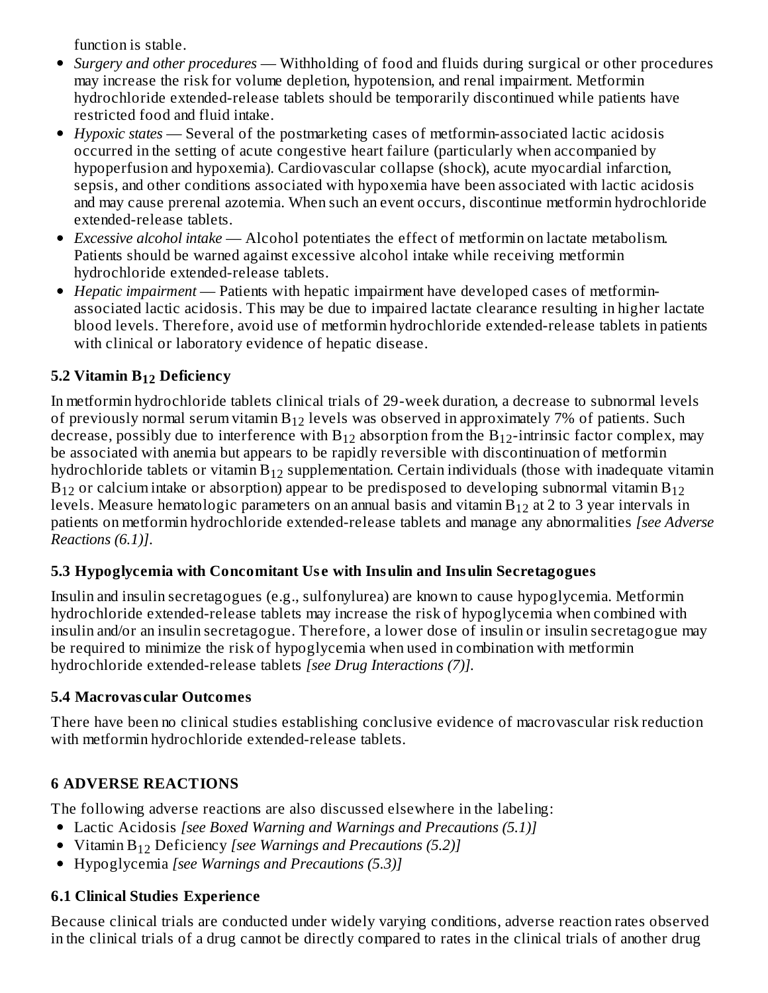function is stable.

- *Surgery and other procedures* Withholding of food and fluids during surgical or other procedures may increase the risk for volume depletion, hypotension, and renal impairment. Metformin hydrochloride extended-release tablets should be temporarily discontinued while patients have restricted food and fluid intake.
- *Hypoxic states* Several of the postmarketing cases of metformin-associated lactic acidosis occurred in the setting of acute congestive heart failure (particularly when accompanied by hypoperfusion and hypoxemia). Cardiovascular collapse (shock), acute myocardial infarction, sepsis, and other conditions associated with hypoxemia have been associated with lactic acidosis and may cause prerenal azotemia. When such an event occurs, discontinue metformin hydrochloride extended-release tablets.
- *Excessive alcohol intake* Alcohol potentiates the effect of metformin on lactate metabolism. Patients should be warned against excessive alcohol intake while receiving metformin hydrochloride extended-release tablets.
- *Hepatic impairment* Patients with hepatic impairment have developed cases of metforminassociated lactic acidosis. This may be due to impaired lactate clearance resulting in higher lactate blood levels. Therefore, avoid use of metformin hydrochloride extended-release tablets in patients with clinical or laboratory evidence of hepatic disease.

# **5.2 Vitamin B Deficiency 12**

In metformin hydrochloride tablets clinical trials of 29-week duration, a decrease to subnormal levels of previously normal serum vitamin  $\rm B_{12}$  levels was observed in approximately 7% of patients. Such decrease, possibly due to interference with  $\rm B_{12}$  absorption from the  $\rm B_{12}$ -intrinsic factor complex, may be associated with anemia but appears to be rapidly reversible with discontinuation of metformin hydrochloride tablets or vitamin $\rm B_{12}$  supplementation. Certain individuals (those with inadequate vitamin  $\rm B_{12}$  or calcium intake or absorption) appear to be predisposed to developing subnormal vitamin  $\rm B_{12}$ levels. Measure hematologic parameters on an annual basis and vitamin  $\rm B_{12}$  at 2 to 3 year intervals in patients on metformin hydrochloride extended-release tablets and manage any abnormalities *[see Adverse Reactions (6.1)]*.

### **5.3 Hypoglycemia with Concomitant Us e with Insulin and Insulin Secretagogues**

Insulin and insulin secretagogues (e.g., sulfonylurea) are known to cause hypoglycemia. Metformin hydrochloride extended-release tablets may increase the risk of hypoglycemia when combined with insulin and/or an insulin secretagogue. Therefore, a lower dose of insulin or insulin secretagogue may be required to minimize the risk of hypoglycemia when used in combination with metformin hydrochloride extended-release tablets *[see Drug Interactions (7)].*

### **5.4 Macrovas cular Outcomes**

There have been no clinical studies establishing conclusive evidence of macrovascular risk reduction with metformin hydrochloride extended-release tablets.

### **6 ADVERSE REACTIONS**

The following adverse reactions are also discussed elsewhere in the labeling:

- Lactic Acidosis *[see Boxed Warning and Warnings and Precautions (5.1)]*
- *Kitamin* B<sub>12</sub> Deficiency *[see Warnings and Precautions (5.2)]*
- Hypoglycemia *[see Warnings and Precautions (5.3)]*

# **6.1 Clinical Studies Experience**

Because clinical trials are conducted under widely varying conditions, adverse reaction rates observed in the clinical trials of a drug cannot be directly compared to rates in the clinical trials of another drug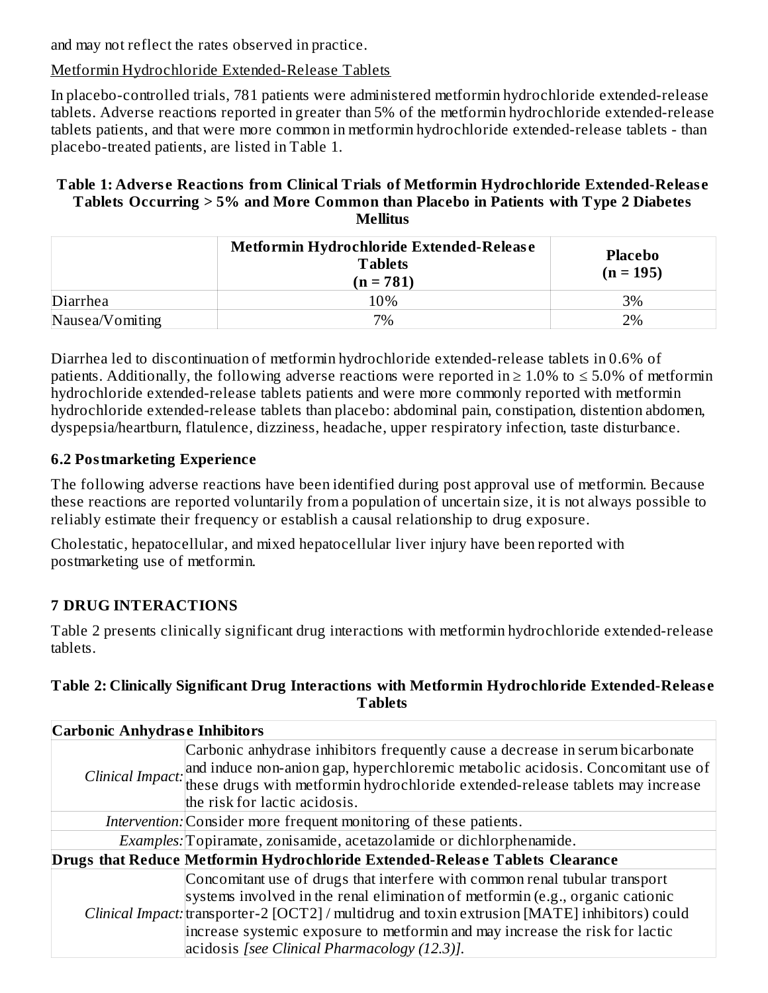and may not reflect the rates observed in practice.

### Metformin Hydrochloride Extended-Release Tablets

In placebo-controlled trials, 781 patients were administered metformin hydrochloride extended-release tablets. Adverse reactions reported in greater than 5% of the metformin hydrochloride extended-release tablets patients, and that were more common in metformin hydrochloride extended-release tablets - than placebo-treated patients, are listed in Table 1.

#### **Table 1: Advers e Reactions from Clinical Trials of Metformin Hydrochloride Extended-Releas e Tablets Occurring > 5% and More Common than Placebo in Patients with Type 2 Diabetes Mellitus**

|                 | Metformin Hydrochloride Extended-Release<br><b>Tablets</b><br>$(n = 781)$ | <b>Placebo</b><br>$(n = 195)$ |
|-----------------|---------------------------------------------------------------------------|-------------------------------|
| Diarrhea        | 10%                                                                       | 3%                            |
| Nausea/Vomiting | 7%                                                                        | 2%                            |

Diarrhea led to discontinuation of metformin hydrochloride extended-release tablets in 0.6% of patients. Additionally, the following adverse reactions were reported in  $\geq 1.0\%$  to  $\leq 5.0\%$  of metformin hydrochloride extended-release tablets patients and were more commonly reported with metformin hydrochloride extended-release tablets than placebo: abdominal pain, constipation, distention abdomen, dyspepsia/heartburn, flatulence, dizziness, headache, upper respiratory infection, taste disturbance.

### **6.2 Postmarketing Experience**

The following adverse reactions have been identified during post approval use of metformin. Because these reactions are reported voluntarily from a population of uncertain size, it is not always possible to reliably estimate their frequency or establish a causal relationship to drug exposure.

Cholestatic, hepatocellular, and mixed hepatocellular liver injury have been reported with postmarketing use of metformin.

# **7 DRUG INTERACTIONS**

Table 2 presents clinically significant drug interactions with metformin hydrochloride extended-release tablets.

#### **Table 2: Clinically Significant Drug Interactions with Metformin Hydrochloride Extended-Releas e Tablets**

|                                                                      | <b>Carbonic Anhydrase Inhibitors</b>                                                             |  |  |  |  |  |  |
|----------------------------------------------------------------------|--------------------------------------------------------------------------------------------------|--|--|--|--|--|--|
|                                                                      | Carbonic anhydrase inhibitors frequently cause a decrease in serum bicarbonate                   |  |  |  |  |  |  |
|                                                                      | Clinical Impact: and induce non-anion gap, hyperchloremic metabolic acidosis. Concomitant use of |  |  |  |  |  |  |
|                                                                      | these drugs with metformin hydrochloride extended-release tablets may increase                   |  |  |  |  |  |  |
|                                                                      | the risk for lactic acidosis.                                                                    |  |  |  |  |  |  |
|                                                                      | Intervention: Consider more frequent monitoring of these patients.                               |  |  |  |  |  |  |
| Examples: Topiramate, zonisamide, acetazolamide or dichlorphenamide. |                                                                                                  |  |  |  |  |  |  |
|                                                                      | Drugs that Reduce Metformin Hydrochloride Extended-Release Tablets Clearance                     |  |  |  |  |  |  |
|                                                                      | Concomitant use of drugs that interfere with common renal tubular transport                      |  |  |  |  |  |  |
|                                                                      | systems involved in the renal elimination of metformin (e.g., organic cationic                   |  |  |  |  |  |  |
|                                                                      | Clinical Impact: transporter-2 [OCT2] / multidrug and toxin extrusion [MATE] inhibitors) could   |  |  |  |  |  |  |
|                                                                      | increase systemic exposure to metformin and may increase the risk for lactic                     |  |  |  |  |  |  |
|                                                                      | $acidosis$ [see Clinical Pharmacology $(12.3)$ ].                                                |  |  |  |  |  |  |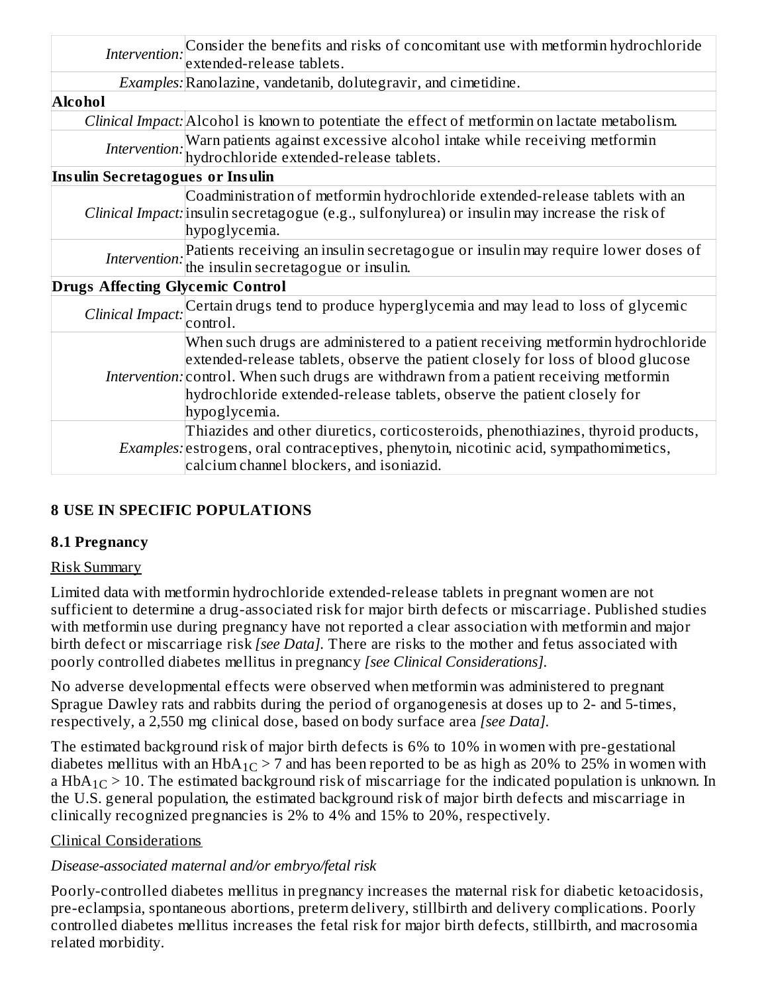| Intervention:                           | Consider the benefits and risks of concomitant use with metformin hydrochloride                                                                                                                                                                                                                                                                           |
|-----------------------------------------|-----------------------------------------------------------------------------------------------------------------------------------------------------------------------------------------------------------------------------------------------------------------------------------------------------------------------------------------------------------|
|                                         | extended-release tablets.                                                                                                                                                                                                                                                                                                                                 |
|                                         | Examples: Ranolazine, vandetanib, dolutegravir, and cimetidine.                                                                                                                                                                                                                                                                                           |
| <b>Alcohol</b>                          |                                                                                                                                                                                                                                                                                                                                                           |
|                                         | Clinical Impact: Alcohol is known to potentiate the effect of metformin on lactate metabolism.                                                                                                                                                                                                                                                            |
|                                         | Intervention: Warn patients against excessive alcohol intake while receiving metformin hydrochloride extended-release tablets.                                                                                                                                                                                                                            |
| <b>Insulin Secretagogues or Insulin</b> |                                                                                                                                                                                                                                                                                                                                                           |
|                                         | Coadministration of metformin hydrochloride extended-release tablets with an<br>Clinical Impact: insulin secretagogue (e.g., sulfonylurea) or insulin may increase the risk of                                                                                                                                                                            |
|                                         | hypoglycemia.                                                                                                                                                                                                                                                                                                                                             |
|                                         | Intervention: Patients receiving an insulin secretagogue or insulin may require lower doses of the insulin secretagogue or insulin.                                                                                                                                                                                                                       |
|                                         |                                                                                                                                                                                                                                                                                                                                                           |
| <b>Drugs Affecting Glycemic Control</b> |                                                                                                                                                                                                                                                                                                                                                           |
|                                         | Clinical Impact: Certain drugs tend to produce hyperglycemia and may lead to loss of glycemic<br>control.                                                                                                                                                                                                                                                 |
|                                         | When such drugs are administered to a patient receiving metformin hydrochloride<br>extended-release tablets, observe the patient closely for loss of blood glucose<br>Intervention: control. When such drugs are withdrawn from a patient receiving metformin<br>hydrochloride extended-release tablets, observe the patient closely for<br>hypoglycemia. |
|                                         | Thiazides and other diuretics, corticosteroids, phenothiazines, thyroid products,<br>Examples: estrogens, oral contraceptives, phenytoin, nicotinic acid, sympathomimetics,<br>calcium channel blockers, and isoniazid.                                                                                                                                   |

# **8 USE IN SPECIFIC POPULATIONS**

#### **8.1 Pregnancy**

#### Risk Summary

Limited data with metformin hydrochloride extended-release tablets in pregnant women are not sufficient to determine a drug-associated risk for major birth defects or miscarriage. Published studies with metformin use during pregnancy have not reported a clear association with metformin and major birth defect or miscarriage risk *[see Data].* There are risks to the mother and fetus associated with poorly controlled diabetes mellitus in pregnancy *[see Clinical Considerations].*

No adverse developmental effects were observed when metformin was administered to pregnant Sprague Dawley rats and rabbits during the period of organogenesis at doses up to 2- and 5-times, respectively, a 2,550 mg clinical dose, based on body surface area *[see Data].*

The estimated background risk of major birth defects is 6% to 10% in women with pre-gestational diabetes mellitus with an HbA $_{1C}$  > 7 and has been reported to be as high as 20% to 25% in women with a  $HbA_{1C}$   $>$  10. The estimated background risk of miscarriage for the indicated population is unknown. In the U.S. general population, the estimated background risk of major birth defects and miscarriage in clinically recognized pregnancies is 2% to 4% and 15% to 20%, respectively.

#### Clinical Considerations

#### *Disease-associated maternal and/or embryo/fetal risk*

Poorly-controlled diabetes mellitus in pregnancy increases the maternal risk for diabetic ketoacidosis, pre-eclampsia, spontaneous abortions, preterm delivery, stillbirth and delivery complications. Poorly controlled diabetes mellitus increases the fetal risk for major birth defects, stillbirth, and macrosomia related morbidity.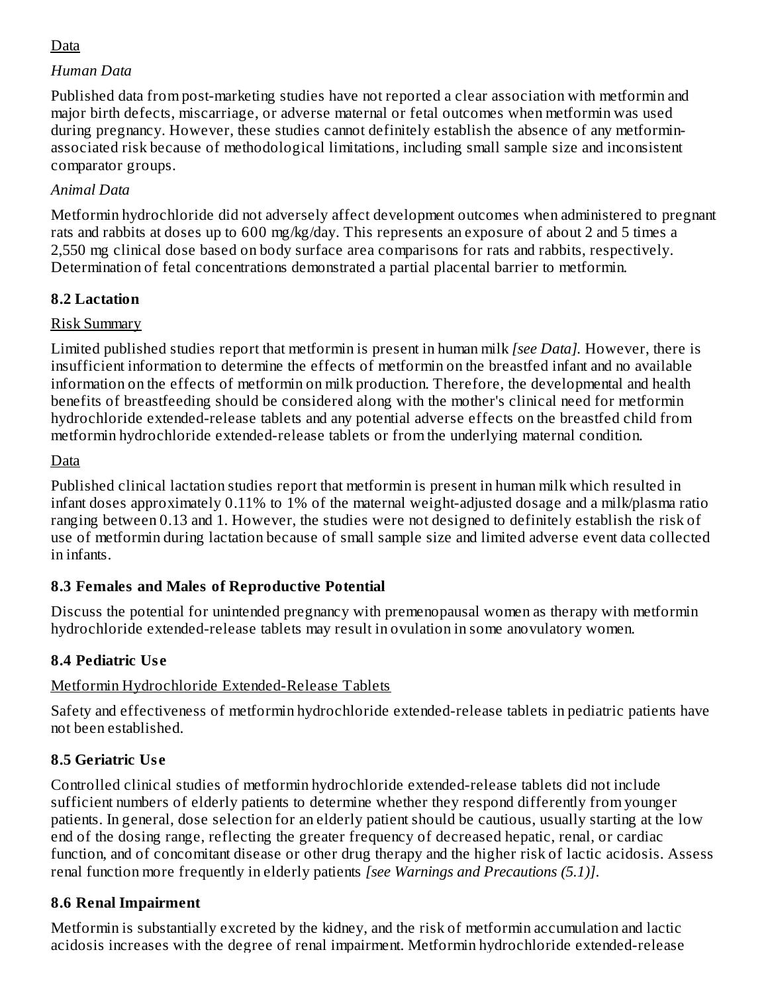### Data

#### *Human Data*

Published data from post-marketing studies have not reported a clear association with metformin and major birth defects, miscarriage, or adverse maternal or fetal outcomes when metformin was used during pregnancy. However, these studies cannot definitely establish the absence of any metforminassociated risk because of methodological limitations, including small sample size and inconsistent comparator groups.

### *Animal Data*

Metformin hydrochloride did not adversely affect development outcomes when administered to pregnant rats and rabbits at doses up to 600 mg/kg/day. This represents an exposure of about 2 and 5 times a 2,550 mg clinical dose based on body surface area comparisons for rats and rabbits, respectively. Determination of fetal concentrations demonstrated a partial placental barrier to metformin.

### **8.2 Lactation**

### Risk Summary

Limited published studies report that metformin is present in human milk *[see Data].* However, there is insufficient information to determine the effects of metformin on the breastfed infant and no available information on the effects of metformin on milk production. Therefore, the developmental and health benefits of breastfeeding should be considered along with the mother's clinical need for metformin hydrochloride extended-release tablets and any potential adverse effects on the breastfed child from metformin hydrochloride extended-release tablets or from the underlying maternal condition.

#### Data

Published clinical lactation studies report that metformin is present in human milk which resulted in infant doses approximately 0.11% to 1% of the maternal weight-adjusted dosage and a milk/plasma ratio ranging between 0.13 and 1. However, the studies were not designed to definitely establish the risk of use of metformin during lactation because of small sample size and limited adverse event data collected in infants.

### **8.3 Females and Males of Reproductive Potential**

Discuss the potential for unintended pregnancy with premenopausal women as therapy with metformin hydrochloride extended-release tablets may result in ovulation in some anovulatory women.

# **8.4 Pediatric Us e**

### Metformin Hydrochloride Extended-Release Tablets

Safety and effectiveness of metformin hydrochloride extended-release tablets in pediatric patients have not been established.

# **8.5 Geriatric Us e**

Controlled clinical studies of metformin hydrochloride extended-release tablets did not include sufficient numbers of elderly patients to determine whether they respond differently from younger patients. In general, dose selection for an elderly patient should be cautious, usually starting at the low end of the dosing range, reflecting the greater frequency of decreased hepatic, renal, or cardiac function, and of concomitant disease or other drug therapy and the higher risk of lactic acidosis. Assess renal function more frequently in elderly patients *[see Warnings and Precautions (5.1)]*.

### **8.6 Renal Impairment**

Metformin is substantially excreted by the kidney, and the risk of metformin accumulation and lactic acidosis increases with the degree of renal impairment. Metformin hydrochloride extended-release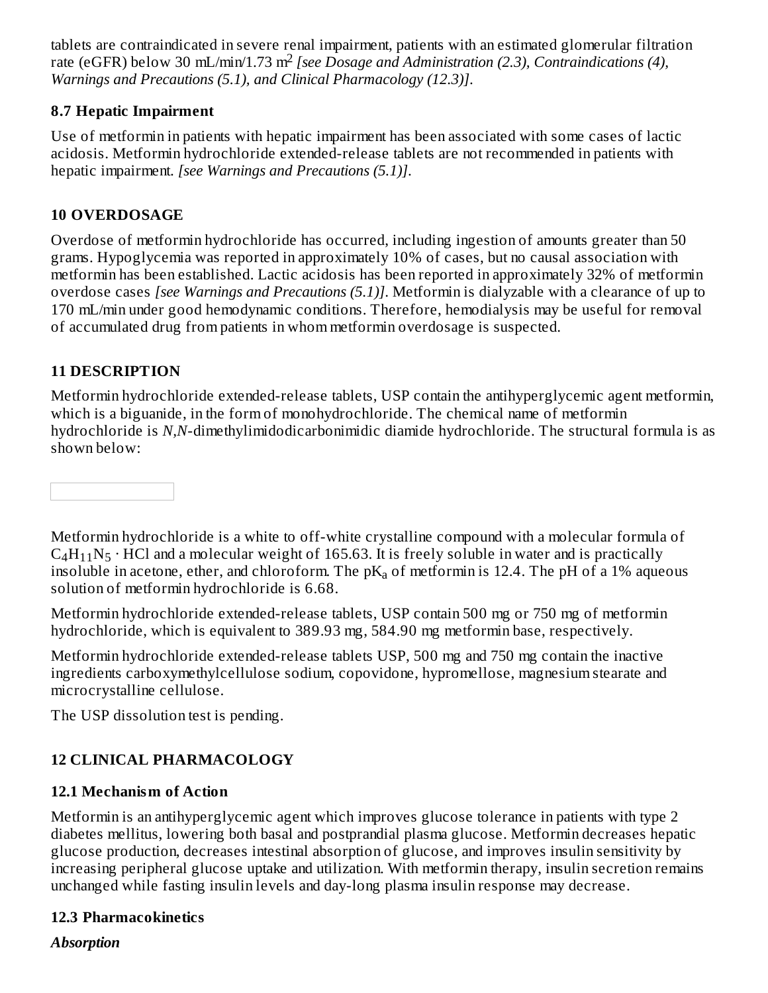tablets are contraindicated in severe renal impairment, patients with an estimated glomerular filtration rate (eGFR) below 30 mL/min/1.73 m<sup>2</sup> [see Dosage and Administration (2.3), Contraindications (4), *Warnings and Precautions (5.1), and Clinical Pharmacology (12.3)]*.

#### **8.7 Hepatic Impairment**

Use of metformin in patients with hepatic impairment has been associated with some cases of lactic acidosis. Metformin hydrochloride extended-release tablets are not recommended in patients with hepatic impairment. *[see Warnings and Precautions (5.1)]*.

#### **10 OVERDOSAGE**

Overdose of metformin hydrochloride has occurred, including ingestion of amounts greater than 50 grams. Hypoglycemia was reported in approximately 10% of cases, but no causal association with metformin has been established. Lactic acidosis has been reported in approximately 32% of metformin overdose cases *[see Warnings and Precautions (5.1)]*. Metformin is dialyzable with a clearance of up to 170 mL/min under good hemodynamic conditions. Therefore, hemodialysis may be useful for removal of accumulated drug from patients in whom metformin overdosage is suspected.

### **11 DESCRIPTION**

Metformin hydrochloride extended-release tablets, USP contain the antihyperglycemic agent metformin, which is a biguanide, in the form of monohydrochloride. The chemical name of metformin hydrochloride is *N,N*-dimethylimidodicarbonimidic diamide hydrochloride. The structural formula is as shown below:

Metformin hydrochloride is a white to off-white crystalline compound with a molecular formula of  $C_4H_{11}N_5\cdot HCl$  and a molecular weight of 165.63. It is freely soluble in water and is practically insoluble in acetone, ether, and chloroform. The p $\rm K_a$  of metformin is 12.4. The pH of a 1% aqueous solution of metformin hydrochloride is 6.68.

Metformin hydrochloride extended-release tablets, USP contain 500 mg or 750 mg of metformin hydrochloride, which is equivalent to 389.93 mg, 584.90 mg metformin base, respectively.

Metformin hydrochloride extended-release tablets USP, 500 mg and 750 mg contain the inactive ingredients carboxymethylcellulose sodium, copovidone, hypromellose, magnesium stearate and microcrystalline cellulose.

The USP dissolution test is pending.

# **12 CLINICAL PHARMACOLOGY**

### **12.1 Mechanism of Action**

Metformin is an antihyperglycemic agent which improves glucose tolerance in patients with type 2 diabetes mellitus, lowering both basal and postprandial plasma glucose. Metformin decreases hepatic glucose production, decreases intestinal absorption of glucose, and improves insulin sensitivity by increasing peripheral glucose uptake and utilization. With metformin therapy, insulin secretion remains unchanged while fasting insulin levels and day-long plasma insulin response may decrease.

### **12.3 Pharmacokinetics**

*Absorption*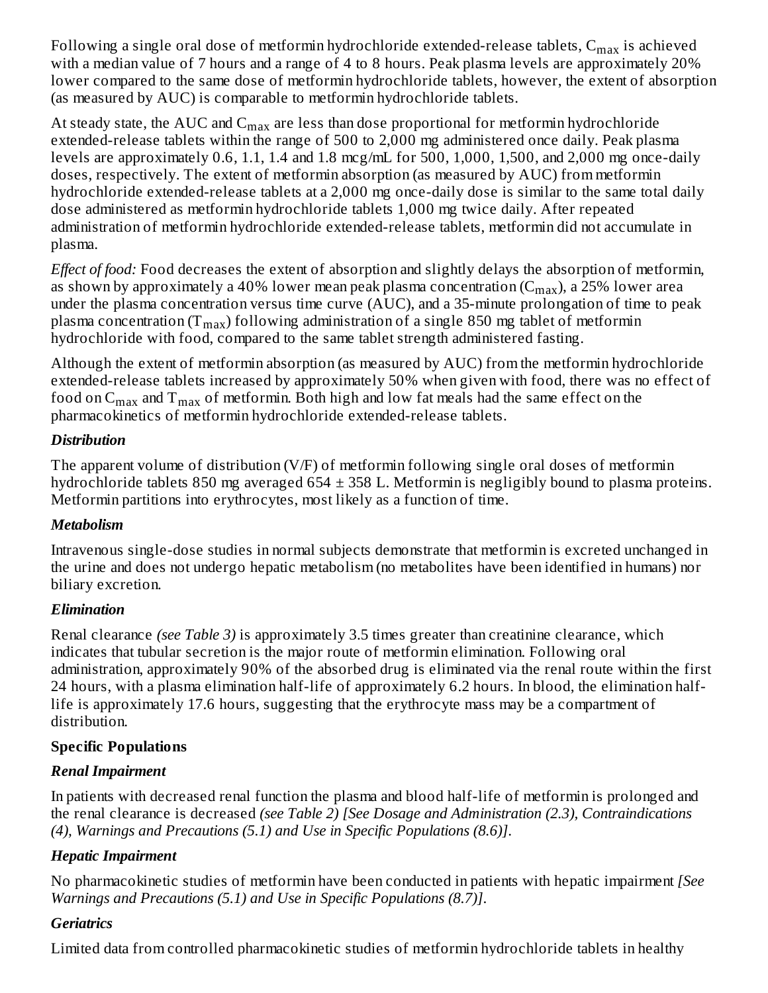Following a single oral dose of metformin hydrochloride extended-release tablets,  $\mathsf{C}_{\max}$  is achieved with a median value of 7 hours and a range of 4 to 8 hours. Peak plasma levels are approximately 20% lower compared to the same dose of metformin hydrochloride tablets, however, the extent of absorption (as measured by AUC) is comparable to metformin hydrochloride tablets.

At steady state, the AUC and  $\mathsf{C}_{\max}$  are less than dose proportional for metformin hydrochloride extended-release tablets within the range of 500 to 2,000 mg administered once daily. Peak plasma levels are approximately 0.6, 1.1, 1.4 and 1.8 mcg/mL for 500, 1,000, 1,500, and 2,000 mg once-daily doses, respectively. The extent of metformin absorption (as measured by AUC) from metformin hydrochloride extended-release tablets at a 2,000 mg once-daily dose is similar to the same total daily dose administered as metformin hydrochloride tablets 1,000 mg twice daily. After repeated administration of metformin hydrochloride extended-release tablets, metformin did not accumulate in plasma.

*Effect of food:* Food decreases the extent of absorption and slightly delays the absorption of metformin, as shown by approximately a 40% lower mean peak plasma concentration (C $_{\rm max}$ ), a 25% lower area under the plasma concentration versus time curve (AUC), and a 35-minute prolongation of time to peak plasma concentration (T $_{\rm max}$ ) following administration of a single 850 mg tablet of metformin hydrochloride with food, compared to the same tablet strength administered fasting.

Although the extent of metformin absorption (as measured by AUC) from the metformin hydrochloride extended-release tablets increased by approximately 50% when given with food, there was no effect of food on  ${\sf C}_{\max}$  and  ${\sf T}_{\max}$  of metformin. Both high and low fat meals had the same effect on the pharmacokinetics of metformin hydrochloride extended-release tablets.

### *Distribution*

The apparent volume of distribution (V/F) of metformin following single oral doses of metformin hydrochloride tablets 850 mg averaged  $654 \pm 358$  L. Metformin is negligibly bound to plasma proteins. Metformin partitions into erythrocytes, most likely as a function of time.

### *Metabolism*

Intravenous single-dose studies in normal subjects demonstrate that metformin is excreted unchanged in the urine and does not undergo hepatic metabolism (no metabolites have been identified in humans) nor biliary excretion.

### *Elimination*

Renal clearance *(see Table 3)* is approximately 3.5 times greater than creatinine clearance, which indicates that tubular secretion is the major route of metformin elimination. Following oral administration, approximately 90% of the absorbed drug is eliminated via the renal route within the first 24 hours, with a plasma elimination half-life of approximately 6.2 hours. In blood, the elimination halflife is approximately 17.6 hours, suggesting that the erythrocyte mass may be a compartment of distribution.

### **Specific Populations**

### *Renal Impairment*

In patients with decreased renal function the plasma and blood half-life of metformin is prolonged and the renal clearance is decreased *(see Table 2) [See Dosage and Administration (2.3), Contraindications (4), Warnings and Precautions (5.1) and Use in Specific Populations (8.6)]*.

# *Hepatic Impairment*

No pharmacokinetic studies of metformin have been conducted in patients with hepatic impairment *[See Warnings and Precautions (5.1) and Use in Specific Populations (8.7)]*.

### *Geriatrics*

Limited data from controlled pharmacokinetic studies of metformin hydrochloride tablets in healthy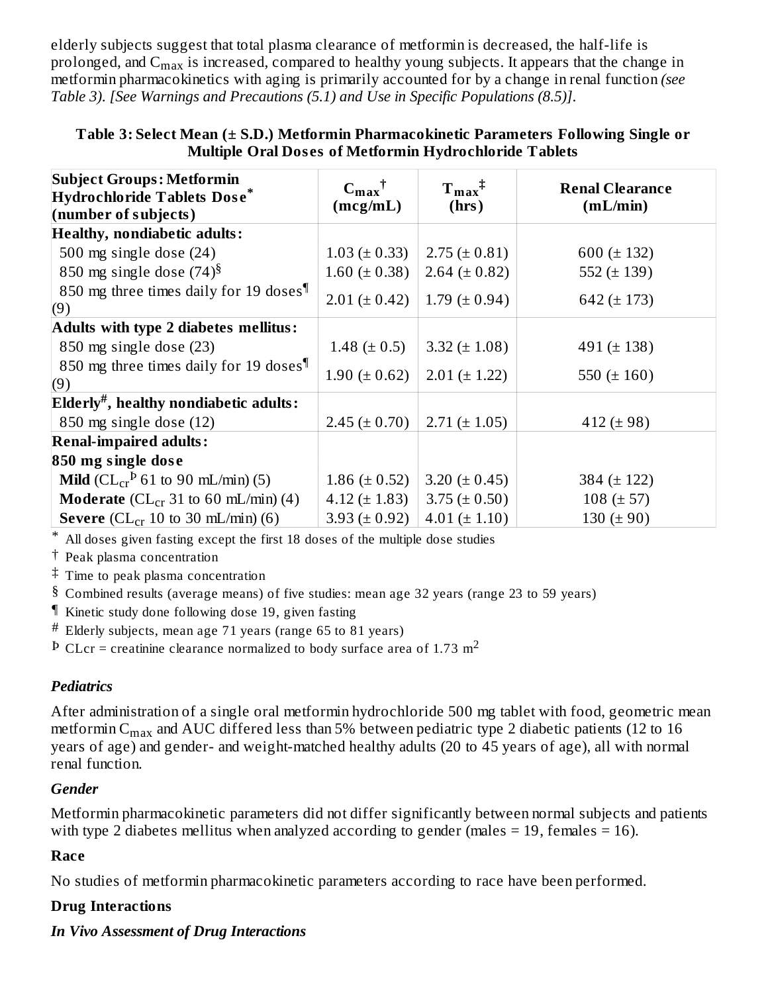elderly subjects suggest that total plasma clearance of metformin is decreased, the half-life is prolonged, and  $\rm{C_{max}}$  is increased, compared to healthy young subjects. It appears that the change in metformin pharmacokinetics with aging is primarily accounted for by a change in renal function *(see Table 3)*. *[See Warnings and Precautions (5.1) and Use in Specific Populations (8.5)]*.

| <b>Subject Groups: Metformin</b><br><b>Hydrochloride Tablets Dose*</b><br>(number of subjects) | $C_{\text{max}}^{\dagger}$<br>(mcg/mL) | $T_{max}^{\dagger}$<br>(hrs) | <b>Renal Clearance</b><br>(mL/min) |
|------------------------------------------------------------------------------------------------|----------------------------------------|------------------------------|------------------------------------|
| <b>Healthy, nondiabetic adults:</b>                                                            |                                        |                              |                                    |
| 500 mg single dose $(24)$                                                                      | $1.03 (\pm 0.33)$                      | $2.75 (\pm 0.81)$            | 600 $(\pm 132)$                    |
| 850 mg single dose $(74)^8$                                                                    | $1.60 (\pm 0.38)$                      | 2.64 ( $\pm$ 0.82)           | 552 $(\pm 139)$                    |
| 850 mg three times daily for 19 doses <sup>¶</sup><br>(9)                                      | $2.01 (\pm 0.42)$                      | $1.79 \ (\pm 0.94)$          | 642 ( $\pm$ 173)                   |
| Adults with type 2 diabetes mellitus:                                                          |                                        |                              |                                    |
| 850 mg single dose (23)                                                                        | 1.48 $(\pm 0.5)$                       | 3.32 $(\pm 1.08)$            | 491 ( $\pm$ 138)                   |
| 850 mg three times daily for 19 doses<br>(9)                                                   | $1.90 (\pm 0.62)$                      | $2.01 (\pm 1.22)$            | 550 $(\pm 160)$                    |
| $E$ lderly <sup>#</sup> , healthy nondiabetic adults:                                          |                                        |                              |                                    |
| 850 mg single dose (12)                                                                        | $2.45 (\pm 0.70)$                      | $2.71 (\pm 1.05)$            | 412 ( $\pm$ 98)                    |
| <b>Renal-impaired adults:</b>                                                                  |                                        |                              |                                    |
| 850 mg single dose                                                                             |                                        |                              |                                    |
| <b>Mild</b> ( $CL_{cr}^P$ 61 to 90 mL/min) (5)                                                 | 1.86 ( $\pm$ 0.52)                     | 3.20 $(\pm 0.45)$            | 384 $(\pm 122)$                    |
| <b>Moderate</b> ( $CL_{cr}$ 31 to 60 mL/min) (4)                                               | 4.12 $(\pm 1.83)$                      | $3.75 (\pm 0.50)$            | 108 ( $\pm$ 57)                    |
| <b>Severe</b> ( $CL_{cr}$ 10 to 30 mL/min) (6)                                                 | $3.93 (\pm 0.92)$                      | $4.01 (\pm 1.10)$            | 130 ( $\pm$ 90)                    |

#### **Table 3: Select Mean (± S.D.) Metformin Pharmacokinetic Parameters Following Single or Multiple Oral Dos es of Metformin Hydrochloride Tablets**

\* All doses given fasting except the first 18 doses of the multiple dose studies

† Peak plasma concentration

‡ Time to peak plasma concentration

§ Combined results (average means) of five studies: mean age 32 years (range 23 to 59 years)

¶ Kinetic study done following dose 19, given fasting

# Elderly subjects, mean age 71 years (range 65 to 81 years)

 $\rm \Phi$  CLcr = creatinine clearance normalized to body surface area of 1.73 m<sup>2</sup>

#### *Pediatrics*

After administration of a single oral metformin hydrochloride 500 mg tablet with food, geometric mean metformin C $_{\rm max}$  and AUC differed less than 5% between pediatric type 2 diabetic patients (12 to 16 years of age) and gender- and weight-matched healthy adults (20 to 45 years of age), all with normal renal function.

#### *Gender*

Metformin pharmacokinetic parameters did not differ significantly between normal subjects and patients with type 2 diabetes mellitus when analyzed according to gender (males  $= 19$ , females  $= 16$ ).

#### **Race**

No studies of metformin pharmacokinetic parameters according to race have been performed.

#### **Drug Interactions**

#### *In Vivo Assessment of Drug Interactions*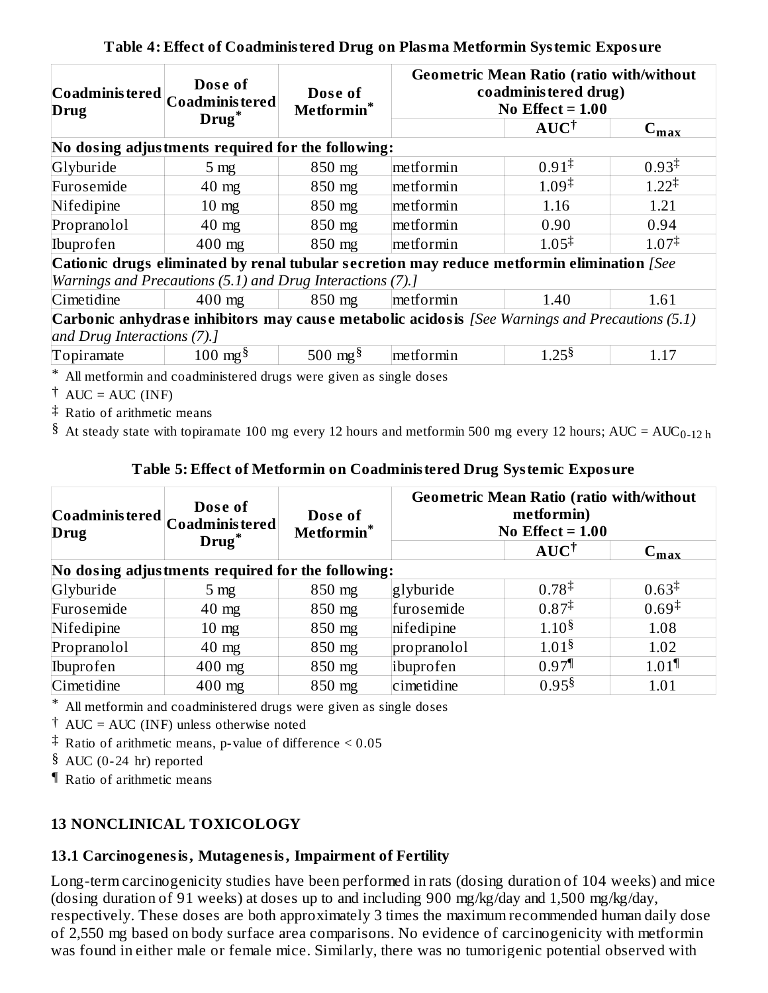| Drug                                                                                             | Dose of<br>$ \mathbf{Co}\mathbf{ad}\mathbf{m}$ inis tered $ \mathbf{Co}\mathbf{ad}\mathbf{m}$ inis tered $ \mathbf{Co}\mathbf{ad}\mathbf{m} \mathbf{M} $<br>Drug <sup>*</sup> | Dose of<br>Metformin* |                                                                                            | <b>Geometric Mean Ratio (ratio with/without)</b><br>coadministered drug)<br>No Effect = $1.00$ |                   |  |  |  |
|--------------------------------------------------------------------------------------------------|-------------------------------------------------------------------------------------------------------------------------------------------------------------------------------|-----------------------|--------------------------------------------------------------------------------------------|------------------------------------------------------------------------------------------------|-------------------|--|--|--|
|                                                                                                  |                                                                                                                                                                               |                       |                                                                                            | $AUC^{\dagger}$                                                                                | $C_{\text{max}}$  |  |  |  |
|                                                                                                  | No dosing adjustments required for the following:                                                                                                                             |                       |                                                                                            |                                                                                                |                   |  |  |  |
| Glyburide                                                                                        | 5 <sub>mg</sub>                                                                                                                                                               | 850 mg                | metformin                                                                                  | $0.91^{\ddagger}$                                                                              | $0.93^{\ddagger}$ |  |  |  |
| Furosemide                                                                                       | $40$ mg                                                                                                                                                                       | 850 mg                | $1.09^{\ddagger}$<br>metformin                                                             |                                                                                                | $1.22^{\ddagger}$ |  |  |  |
| Nifedipine                                                                                       | $10 \text{ mg}$                                                                                                                                                               | 850 mg                | metformin<br>1.16                                                                          |                                                                                                | 1.21              |  |  |  |
| Propranolol                                                                                      | $40 \text{ mg}$                                                                                                                                                               | 850 mg                | metformin                                                                                  | 0.90                                                                                           | 0.94              |  |  |  |
| Ibuprofen                                                                                        | 400 mg                                                                                                                                                                        | 850 mg                | $1.05^{\ddagger}$<br>metformin                                                             |                                                                                                | $1.07^{\ddagger}$ |  |  |  |
|                                                                                                  |                                                                                                                                                                               |                       | Cationic drugs eliminated by renal tubular secretion may reduce metformin elimination [See |                                                                                                |                   |  |  |  |
|                                                                                                  | Warnings and Precautions (5.1) and Drug Interactions (7).]                                                                                                                    |                       |                                                                                            |                                                                                                |                   |  |  |  |
| Cimetidine                                                                                       | $400$ mg                                                                                                                                                                      | 850 mg                | metformin                                                                                  | 1.40                                                                                           | 1.61              |  |  |  |
| Carbonic anhydrase inhibitors may cause metabolic acidosis [See Warnings and Precautions $(5.1)$ |                                                                                                                                                                               |                       |                                                                                            |                                                                                                |                   |  |  |  |
| and Drug Interactions (7).]                                                                      |                                                                                                                                                                               |                       |                                                                                            |                                                                                                |                   |  |  |  |
| Topiramate                                                                                       | $100 \text{ mg}^{\S}$                                                                                                                                                         | 500 mg <sup>§</sup>   | metformin                                                                                  | 1.25 <sup>§</sup><br>1.17                                                                      |                   |  |  |  |

#### **Table 4: Effect of Coadministered Drug on Plasma Metformin Systemic Exposure**

\* All metformin and coadministered drugs were given as single doses

 $\dagger$  AUC = AUC (INF)

‡ Ratio of arithmetic means

 $\$ <sup>8</sup> At steady state with topiramate 100 mg every 12 hours and metformin 500 mg every 12 hours; AUC = AUC<sub>0-12 h</sub>

#### **Table 5: Effect of Metformin on Coadministered Drug Systemic Exposure**

| Drug                                              | Dose of<br>$  \textsf{Co} \textsf{ad} \textsf{m} \textsf{in} \textsf{is} \textsf{tered}   \textsf{Co} \textsf{ad} \textsf{m} \textsf{in} \textsf{is} \textsf{tered}  $ | Dose of<br>Metformin* | <b>Geometric Mean Ratio (ratio with/without</b><br>metformin)<br>No Effect $= 1.00$ |                     |                     |  |  |
|---------------------------------------------------|------------------------------------------------------------------------------------------------------------------------------------------------------------------------|-----------------------|-------------------------------------------------------------------------------------|---------------------|---------------------|--|--|
|                                                   | Drug <sup>*</sup>                                                                                                                                                      |                       |                                                                                     | $AUC^{\dagger}$     | $C_{\text{max}}$    |  |  |
| No dosing adjustments required for the following: |                                                                                                                                                                        |                       |                                                                                     |                     |                     |  |  |
| Glyburide                                         | $5 \text{ mg}$                                                                                                                                                         | 850 mg                | glyburide                                                                           | $0.78^{\ddagger}$   | $0.63^{\ddagger}$   |  |  |
| Furosemide                                        | $40 \text{ mg}$                                                                                                                                                        | 850 mg                | furosemide                                                                          | $0.87^{\ddagger}$   | $0.69^{\ddagger}$   |  |  |
| Nifedipine                                        | $10 \text{ mg}$                                                                                                                                                        | 850 mg                | nifedipine                                                                          | 1.10 <sup>§</sup>   | 1.08                |  |  |
| Propranolol                                       | $40 \text{ mg}$                                                                                                                                                        | 850 mg                | propranolol                                                                         | 1.01 <sup>§</sup>   | 1.02                |  |  |
| Ibuprofen                                         | $400$ mg                                                                                                                                                               | 850 mg                | ibuprofen                                                                           | $0.97$ <sup>1</sup> | $1.01$ <sup>1</sup> |  |  |
| Cimetidine                                        | $400$ mg                                                                                                                                                               | 850 mg                | 0.95 <sup>§</sup><br>cimetidine<br>1.01                                             |                     |                     |  |  |

\* All metformin and coadministered drugs were given as single doses

† AUC = AUC (INF) unless otherwise noted

‡ Ratio of arithmetic means, p-value of difference < 0.05

§ AUC (0-24 hr) reported

¶ Ratio of arithmetic means

### **13 NONCLINICAL TOXICOLOGY**

### **13.1 Carcinogenesis, Mutagenesis, Impairment of Fertility**

Long-term carcinogenicity studies have been performed in rats (dosing duration of 104 weeks) and mice (dosing duration of 91 weeks) at doses up to and including 900 mg/kg/day and 1,500 mg/kg/day, respectively. These doses are both approximately 3 times the maximum recommended human daily dose of 2,550 mg based on body surface area comparisons. No evidence of carcinogenicity with metformin was found in either male or female mice. Similarly, there was no tumorigenic potential observed with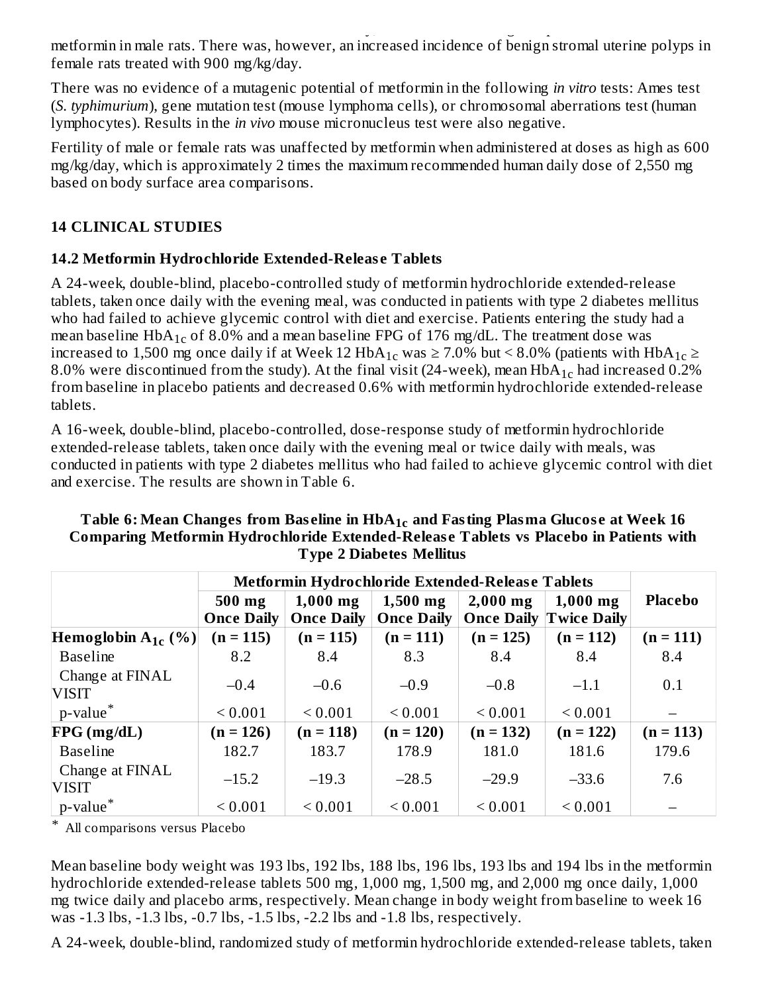was found in either male or female mice. Similarly, there was no tumorigenic potential observed with the similar or female with the similar potential or female with the similar potential or tumorigenic potential or female metformin in male rats. There was, however, an increased incidence of benign stromal uterine polyps in female rats treated with 900 mg/kg/day.

There was no evidence of a mutagenic potential of metformin in the following *in vitro* tests: Ames test (*S. typhimurium*), gene mutation test (mouse lymphoma cells), or chromosomal aberrations test (human lymphocytes). Results in the *in vivo* mouse micronucleus test were also negative.

Fertility of male or female rats was unaffected by metformin when administered at doses as high as 600 mg/kg/day, which is approximately 2 times the maximum recommended human daily dose of 2,550 mg based on body surface area comparisons.

### **14 CLINICAL STUDIES**

### **14.2 Metformin Hydrochloride Extended-Releas e Tablets**

A 24-week, double-blind, placebo-controlled study of metformin hydrochloride extended-release tablets, taken once daily with the evening meal, was conducted in patients with type 2 diabetes mellitus who had failed to achieve glycemic control with diet and exercise. Patients entering the study had a mean baseline  $HbA_{1c}$  of 8.0% and a mean baseline FPG of 176 mg/dL. The treatment dose was increased to 1,500 mg once daily if at Week 12  $HbA_{1c}$  was  $\geq 7.0\%$  but < 8.0% (patients with  $HbA_{1c}$   $\geq$ 8.0% were discontinued from the study). At the final visit (24-week), mean  $HbA_{1c}$  had increased 0.2% from baseline in placebo patients and decreased 0.6% with metformin hydrochloride extended-release tablets.

A 16-week, double-blind, placebo-controlled, dose-response study of metformin hydrochloride extended-release tablets, taken once daily with the evening meal or twice daily with meals, was conducted in patients with type 2 diabetes mellitus who had failed to achieve glycemic control with diet and exercise. The results are shown in Table 6.

|                                 | Metformin Hydrochloride Extended-Release Tablets |                   |                   |             |                               |                |  |
|---------------------------------|--------------------------------------------------|-------------------|-------------------|-------------|-------------------------------|----------------|--|
|                                 | 500 mg                                           | $1,000$ mg        | $1,500$ mg        | $2,000$ mg  | $1,000$ mg                    | <b>Placebo</b> |  |
|                                 | <b>Once Daily</b>                                | <b>Once Daily</b> | <b>Once Daily</b> |             | <b>Once Daily Twice Daily</b> |                |  |
| Hemoglobin $A_{1c}$ (%)         | $(n = 115)$                                      | $(n = 115)$       | $(n = 111)$       | $(n = 125)$ | $(n = 112)$                   | $(n = 111)$    |  |
| <b>Baseline</b>                 | 8.2                                              | 8.4               | 8.3               | 8.4         | 8.4                           | 8.4            |  |
| Change at FINAL<br><b>VISIT</b> | $-0.4$                                           | $-0.6$            | $-0.9$            | $-0.8$      | $-1.1$                        | 0.1            |  |
| p-value <sup>*</sup>            | ${}_{0.001}$                                     | ${}_{0.001}$      | ${}_{0.001}$      | ${}< 0.001$ | ${}_{0.001}$                  |                |  |
| FPG(mg/dL)                      | $(n = 126)$                                      | $(n = 118)$       | $(n = 120)$       | $(n = 132)$ | $(n = 122)$                   | $(n = 113)$    |  |
| <b>Baseline</b>                 | 182.7                                            | 183.7             | 178.9             | 181.0       | 181.6                         | 179.6          |  |
| Change at FINAL<br><b>VISIT</b> | $-15.2$                                          | $-19.3$           | $-28.5$           | $-29.9$     | $-33.6$                       | 7.6            |  |
| p-value <sup>*</sup>            | ${}< 0.001$                                      | ${}< 0.001$       | ${}< 0.001$       | ${}< 0.001$ | ${}< 0.001$                   |                |  |

#### **Table 6: Mean Changes from Bas eline in HbA and Fasting Plasma Glucos e at Week 16 1c Comparing Metformin Hydrochloride Extended-Releas e Tablets vs Placebo in Patients with Type 2 Diabetes Mellitus**

\* All comparisons versus Placebo

Mean baseline body weight was 193 lbs, 192 lbs, 188 lbs, 196 lbs, 193 lbs and 194 lbs in the metformin hydrochloride extended-release tablets 500 mg, 1,000 mg, 1,500 mg, and 2,000 mg once daily, 1,000 mg twice daily and placebo arms, respectively. Mean change in body weight from baseline to week 16 was -1.3 lbs, -1.3 lbs, -0.7 lbs, -1.5 lbs, -2.2 lbs and -1.8 lbs, respectively.

A 24-week, double-blind, randomized study of metformin hydrochloride extended-release tablets, taken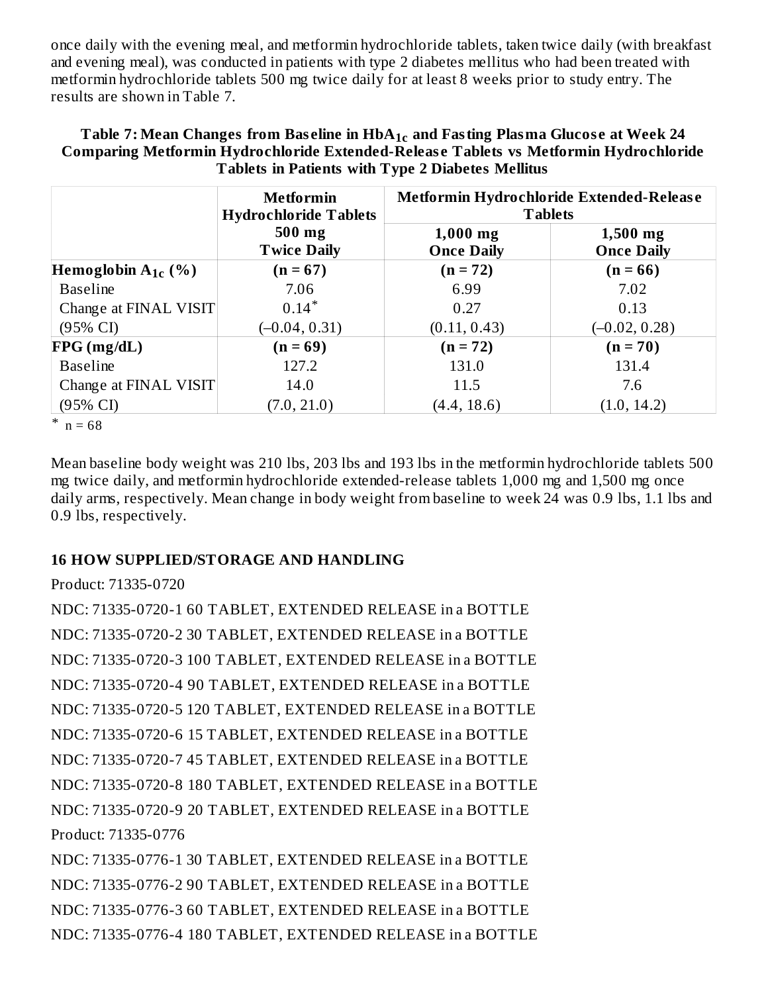once daily with the evening meal, and metformin hydrochloride tablets, taken twice daily (with breakfast and evening meal), was conducted in patients with type 2 diabetes mellitus who had been treated with metformin hydrochloride tablets 500 mg twice daily for at least 8 weeks prior to study entry. The results are shown in Table 7.

| Table 7: Mean Changes from Baseline in HbA <sub>1c</sub> and Fasting Plasma Glucose at Week 24 |
|------------------------------------------------------------------------------------------------|
| Comparing Metformin Hydrochloride Extended-Release Tablets vs Metformin Hydrochloride          |
| Tablets in Patients with Type 2 Diabetes Mellitus                                              |

|                         | <b>Metformin</b><br><b>Hydrochloride Tablets</b> | Metformin Hydrochloride Extended-Release<br><b>Tablets</b> |                                 |  |  |
|-------------------------|--------------------------------------------------|------------------------------------------------------------|---------------------------------|--|--|
|                         | 500 mg<br><b>Twice Daily</b>                     | $1,000$ mg<br><b>Once Daily</b>                            | $1,500$ mg<br><b>Once Daily</b> |  |  |
| Hemoglobin $A_{1c}$ (%) | $(n = 67)$                                       | $(n = 72)$                                                 | $(n = 66)$                      |  |  |
| <b>Baseline</b>         | 7.06                                             | 6.99                                                       | 7.02                            |  |  |
| Change at FINAL VISIT   | $0.14*$                                          | 0.27                                                       | 0.13                            |  |  |
| $(95\% \text{ CI})$     | $(-0.04, 0.31)$                                  | (0.11, 0.43)                                               | $(-0.02, 0.28)$                 |  |  |
| FPG(mg/dL)              | $(n = 69)$                                       | $(n = 72)$                                                 | $(n = 70)$                      |  |  |
| <b>Baseline</b>         | 127.2                                            | 131.0                                                      | 131.4                           |  |  |
| Change at FINAL VISIT   | 14.0                                             | 11.5                                                       | 7.6                             |  |  |
| $(95\% \text{ CI})$     | (7.0, 21.0)                                      | (4.4, 18.6)                                                | (1.0, 14.2)                     |  |  |

 $n = 68$ 

Mean baseline body weight was 210 lbs, 203 lbs and 193 lbs in the metformin hydrochloride tablets 500 mg twice daily, and metformin hydrochloride extended-release tablets 1,000 mg and 1,500 mg once daily arms, respectively. Mean change in body weight from baseline to week 24 was 0.9 lbs, 1.1 lbs and 0.9 lbs, respectively.

#### **16 HOW SUPPLIED/STORAGE AND HANDLING**

#### Product: 71335-0720

NDC: 71335-0720-1 60 TABLET, EXTENDED RELEASE in a BOTTLE NDC: 71335-0720-2 30 TABLET, EXTENDED RELEASE in a BOTTLE NDC: 71335-0720-3 100 TABLET, EXTENDED RELEASE in a BOTTLE NDC: 71335-0720-4 90 TABLET, EXTENDED RELEASE in a BOTTLE NDC: 71335-0720-5 120 TABLET, EXTENDED RELEASE in a BOTTLE NDC: 71335-0720-6 15 TABLET, EXTENDED RELEASE in a BOTTLE NDC: 71335-0720-7 45 TABLET, EXTENDED RELEASE in a BOTTLE NDC: 71335-0720-8 180 TABLET, EXTENDED RELEASE in a BOTTLE NDC: 71335-0720-9 20 TABLET, EXTENDED RELEASE in a BOTTLE Product: 71335-0776

NDC: 71335-0776-1 30 TABLET, EXTENDED RELEASE in a BOTTLE NDC: 71335-0776-2 90 TABLET, EXTENDED RELEASE in a BOTTLE NDC: 71335-0776-3 60 TABLET, EXTENDED RELEASE in a BOTTLE NDC: 71335-0776-4 180 TABLET, EXTENDED RELEASE in a BOTTLE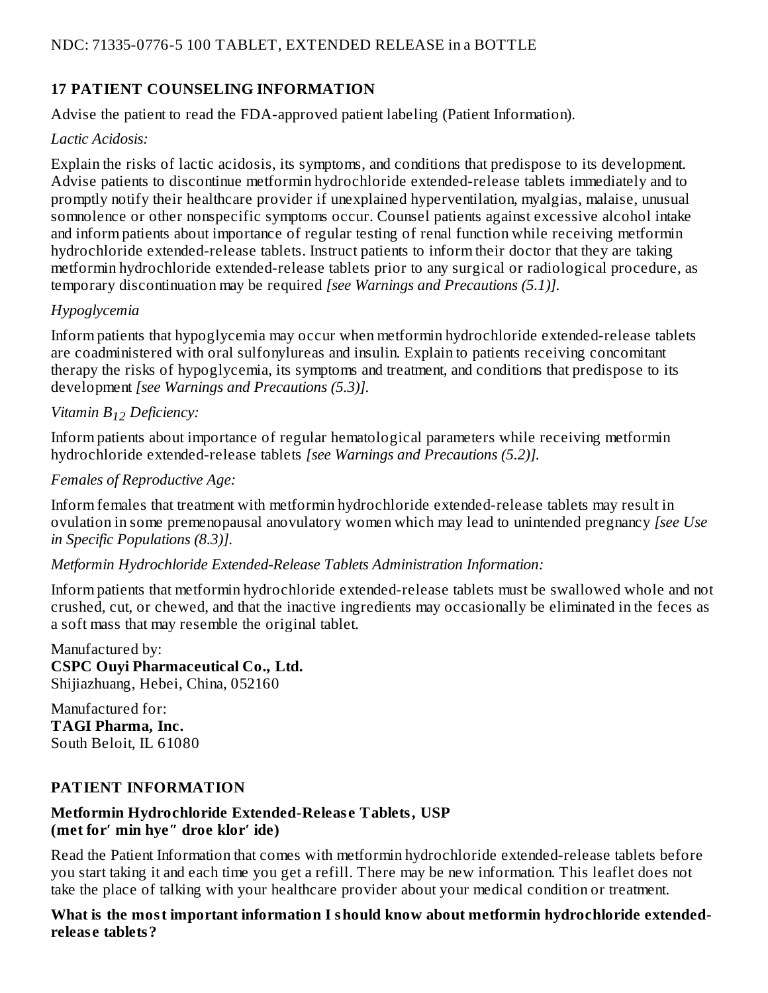### **17 PATIENT COUNSELING INFORMATION**

Advise the patient to read the FDA-approved patient labeling (Patient Information).

#### *Lactic Acidosis:*

Explain the risks of lactic acidosis, its symptoms, and conditions that predispose to its development. Advise patients to discontinue metformin hydrochloride extended-release tablets immediately and to promptly notify their healthcare provider if unexplained hyperventilation, myalgias, malaise, unusual somnolence or other nonspecific symptoms occur. Counsel patients against excessive alcohol intake and inform patients about importance of regular testing of renal function while receiving metformin hydrochloride extended-release tablets. Instruct patients to inform their doctor that they are taking metformin hydrochloride extended-release tablets prior to any surgical or radiological procedure, as temporary discontinuation may be required *[see Warnings and Precautions (5.1)].*

#### *Hypoglycemia*

Inform patients that hypoglycemia may occur when metformin hydrochloride extended-release tablets are coadministered with oral sulfonylureas and insulin. Explain to patients receiving concomitant therapy the risks of hypoglycemia, its symptoms and treatment, and conditions that predispose to its development *[see Warnings and Precautions (5.3)].*

## *Vitamin B Deficiency: 12*

Inform patients about importance of regular hematological parameters while receiving metformin hydrochloride extended-release tablets *[see Warnings and Precautions (5.2)].*

#### *Females of Reproductive Age:*

Inform females that treatment with metformin hydrochloride extended-release tablets may result in ovulation in some premenopausal anovulatory women which may lead to unintended pregnancy *[see Use in Specific Populations (8.3)].*

### *Metformin Hydrochloride Extended-Release Tablets Administration Information:*

Inform patients that metformin hydrochloride extended-release tablets must be swallowed whole and not crushed, cut, or chewed, and that the inactive ingredients may occasionally be eliminated in the feces as a soft mass that may resemble the original tablet.

Manufactured by: **CSPC Ouyi Pharmaceutical Co., Ltd.** Shijiazhuang, Hebei, China, 052160

Manufactured for: **TAGI Pharma, Inc.** South Beloit, IL 61080

### **PATIENT INFORMATION**

#### **Metformin Hydrochloride Extended-Releas e Tablets, USP (met for′ min hye″ droe klor′ ide)**

Read the Patient Information that comes with metformin hydrochloride extended-release tablets before you start taking it and each time you get a refill. There may be new information. This leaflet does not take the place of talking with your healthcare provider about your medical condition or treatment.

**What is the most important information I should know about metformin hydrochloride extendedreleas e tablets?**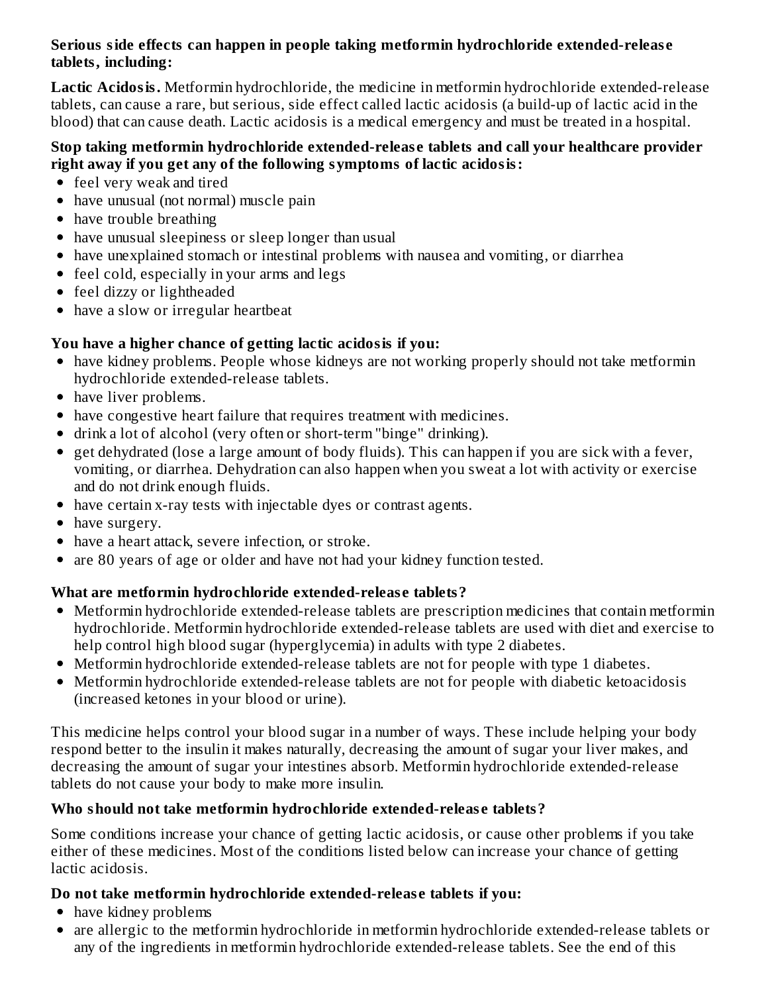#### **Serious side effects can happen in people taking metformin hydrochloride extended-releas e tablets, including:**

**Lactic Acidosis.** Metformin hydrochloride, the medicine in metformin hydrochloride extended-release tablets, can cause a rare, but serious, side effect called lactic acidosis (a build-up of lactic acid in the blood) that can cause death. Lactic acidosis is a medical emergency and must be treated in a hospital.

#### **Stop taking metformin hydrochloride extended-releas e tablets and call your healthcare provider right away if you get any of the following symptoms of lactic acidosis:**

- feel very weak and tired
- have unusual (not normal) muscle pain
- have trouble breathing
- have unusual sleepiness or sleep longer than usual
- have unexplained stomach or intestinal problems with nausea and vomiting, or diarrhea
- feel cold, especially in your arms and legs
- feel dizzy or lightheaded
- have a slow or irregular heartbeat

### **You have a higher chance of getting lactic acidosis if you:**

- have kidney problems. People whose kidneys are not working properly should not take metformin hydrochloride extended-release tablets.
- have liver problems.
- have congestive heart failure that requires treatment with medicines.
- drink a lot of alcohol (very often or short-term "binge" drinking).
- get dehydrated (lose a large amount of body fluids). This can happen if you are sick with a fever, vomiting, or diarrhea. Dehydration can also happen when you sweat a lot with activity or exercise and do not drink enough fluids.
- have certain x-ray tests with injectable dyes or contrast agents.
- have surgery.
- have a heart attack, severe infection, or stroke.
- are 80 years of age or older and have not had your kidney function tested.

# **What are metformin hydrochloride extended-releas e tablets?**

- Metformin hydrochloride extended-release tablets are prescription medicines that contain metformin hydrochloride. Metformin hydrochloride extended-release tablets are used with diet and exercise to help control high blood sugar (hyperglycemia) in adults with type 2 diabetes.
- Metformin hydrochloride extended-release tablets are not for people with type 1 diabetes.
- Metformin hydrochloride extended-release tablets are not for people with diabetic ketoacidosis (increased ketones in your blood or urine).

This medicine helps control your blood sugar in a number of ways. These include helping your body respond better to the insulin it makes naturally, decreasing the amount of sugar your liver makes, and decreasing the amount of sugar your intestines absorb. Metformin hydrochloride extended-release tablets do not cause your body to make more insulin.

# **Who should not take metformin hydrochloride extended-releas e tablets?**

Some conditions increase your chance of getting lactic acidosis, or cause other problems if you take either of these medicines. Most of the conditions listed below can increase your chance of getting lactic acidosis.

# **Do not take metformin hydrochloride extended-releas e tablets if you:**

- have kidney problems
- are allergic to the metformin hydrochloride in metformin hydrochloride extended-release tablets or any of the ingredients in metformin hydrochloride extended-release tablets. See the end of this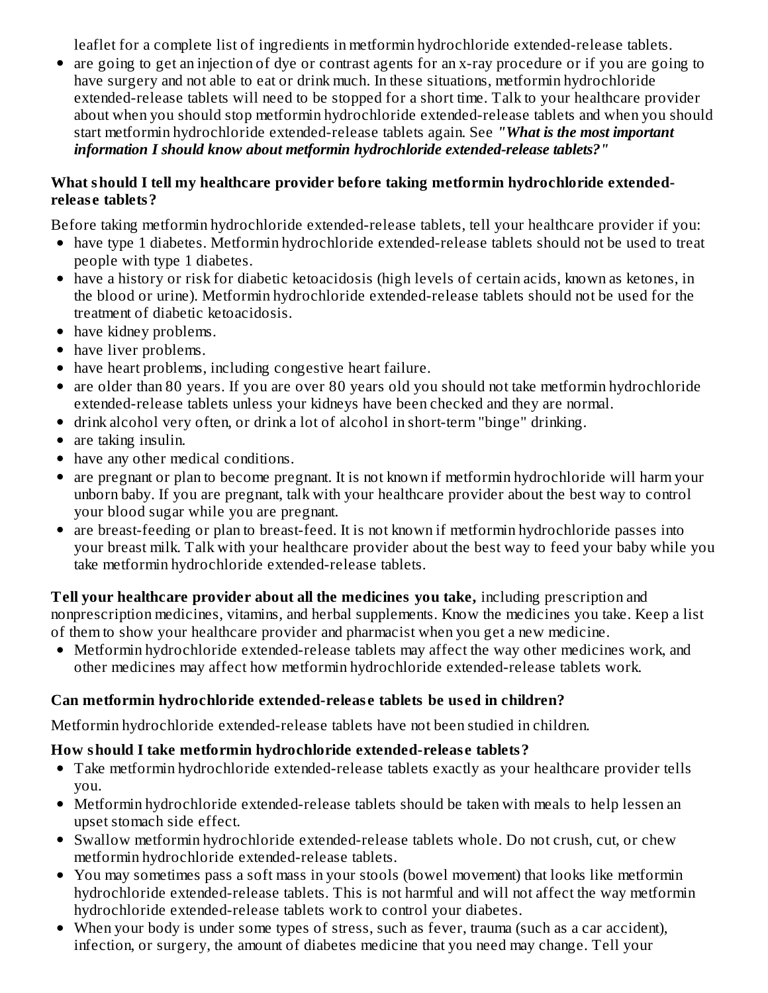leaflet for a complete list of ingredients in metformin hydrochloride extended-release tablets.

are going to get an injection of dye or contrast agents for an x-ray procedure or if you are going to have surgery and not able to eat or drink much. In these situations, metformin hydrochloride extended-release tablets will need to be stopped for a short time. Talk to your healthcare provider about when you should stop metformin hydrochloride extended-release tablets and when you should start metformin hydrochloride extended-release tablets again. See *"What is the most important information I should know about metformin hydrochloride extended-release tablets?"*

#### **What should I tell my healthcare provider before taking metformin hydrochloride extendedreleas e tablets?**

Before taking metformin hydrochloride extended-release tablets, tell your healthcare provider if you:

- have type 1 diabetes. Metformin hydrochloride extended-release tablets should not be used to treat people with type 1 diabetes.
- have a history or risk for diabetic ketoacidosis (high levels of certain acids, known as ketones, in the blood or urine). Metformin hydrochloride extended-release tablets should not be used for the treatment of diabetic ketoacidosis.
- have kidney problems.
- have liver problems.
- have heart problems, including congestive heart failure.
- are older than 80 years. If you are over 80 years old you should not take metformin hydrochloride extended-release tablets unless your kidneys have been checked and they are normal.
- drink alcohol very often, or drink a lot of alcohol in short-term "binge" drinking.
- are taking insulin.
- have any other medical conditions.
- are pregnant or plan to become pregnant. It is not known if metformin hydrochloride will harm your unborn baby. If you are pregnant, talk with your healthcare provider about the best way to control your blood sugar while you are pregnant.
- are breast-feeding or plan to breast-feed. It is not known if metformin hydrochloride passes into your breast milk. Talk with your healthcare provider about the best way to feed your baby while you take metformin hydrochloride extended-release tablets.

**Tell your healthcare provider about all the medicines you take,** including prescription and nonprescription medicines, vitamins, and herbal supplements. Know the medicines you take. Keep a list of them to show your healthcare provider and pharmacist when you get a new medicine.

Metformin hydrochloride extended-release tablets may affect the way other medicines work, and other medicines may affect how metformin hydrochloride extended-release tablets work.

# **Can metformin hydrochloride extended-releas e tablets be us ed in children?**

Metformin hydrochloride extended-release tablets have not been studied in children.

### **How should I take metformin hydrochloride extended-releas e tablets?**

- Take metformin hydrochloride extended-release tablets exactly as your healthcare provider tells you.
- Metformin hydrochloride extended-release tablets should be taken with meals to help lessen an upset stomach side effect.
- Swallow metformin hydrochloride extended-release tablets whole. Do not crush, cut, or chew metformin hydrochloride extended-release tablets.
- You may sometimes pass a soft mass in your stools (bowel movement) that looks like metformin hydrochloride extended-release tablets. This is not harmful and will not affect the way metformin hydrochloride extended-release tablets work to control your diabetes.
- When your body is under some types of stress, such as fever, trauma (such as a car accident), infection, or surgery, the amount of diabetes medicine that you need may change. Tell your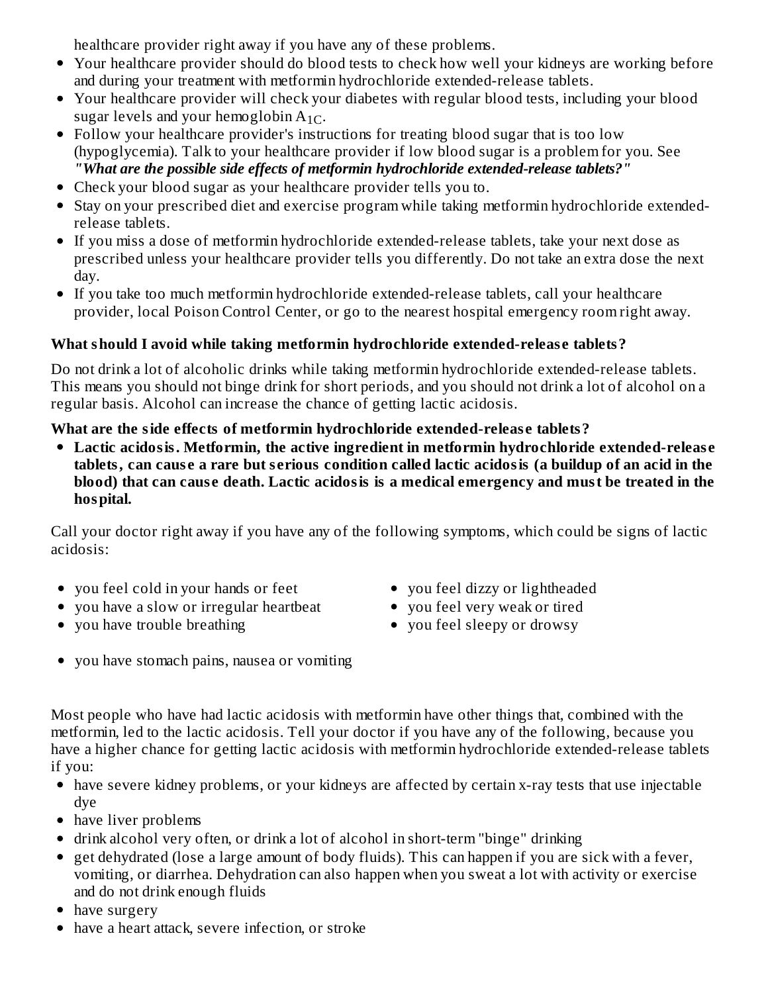healthcare provider right away if you have any of these problems.

- Your healthcare provider should do blood tests to check how well your kidneys are working before and during your treatment with metformin hydrochloride extended-release tablets.
- Your healthcare provider will check your diabetes with regular blood tests, including your blood sugar levels and your hemoglobin  $A_{1C}$ .
- Follow your healthcare provider's instructions for treating blood sugar that is too low (hypoglycemia). Talk to your healthcare provider if low blood sugar is a problem for you. See *"What are the possible side effects of metformin hydrochloride extended-release tablets?"*
- Check your blood sugar as your healthcare provider tells you to.
- Stay on your prescribed diet and exercise program while taking metformin hydrochloride extendedrelease tablets.
- If you miss a dose of metformin hydrochloride extended-release tablets, take your next dose as prescribed unless your healthcare provider tells you differently. Do not take an extra dose the next day.
- If you take too much metformin hydrochloride extended-release tablets, call your healthcare provider, local Poison Control Center, or go to the nearest hospital emergency room right away.

# **What should I avoid while taking metformin hydrochloride extended-releas e tablets?**

Do not drink a lot of alcoholic drinks while taking metformin hydrochloride extended-release tablets. This means you should not binge drink for short periods, and you should not drink a lot of alcohol on a regular basis. Alcohol can increase the chance of getting lactic acidosis.

### **What are the side effects of metformin hydrochloride extended-releas e tablets?**

**Lactic acidosis. Metformin, the active ingredient in metformin hydrochloride extended-releas e** tablets, can cause a rare but serious condition called lactic acidosis (a buildup of an acid in the **blood) that can caus e death. Lactic acidosis is a medical emergency and must be treated in the hospital.**

Call your doctor right away if you have any of the following symptoms, which could be signs of lactic acidosis:

- you feel cold in your hands or feet
- you have a slow or irregular heartbeat
- you have trouble breathing
- you feel dizzy or lightheaded
- you feel very weak or tired
- you feel sleepy or drowsy
- you have stomach pains, nausea or vomiting

Most people who have had lactic acidosis with metformin have other things that, combined with the metformin, led to the lactic acidosis. Tell your doctor if you have any of the following, because you have a higher chance for getting lactic acidosis with metformin hydrochloride extended-release tablets if you:

- have severe kidney problems, or your kidneys are affected by certain x-ray tests that use injectable dye
- have liver problems
- drink alcohol very often, or drink a lot of alcohol in short-term "binge" drinking
- $\bullet$  get dehydrated (lose a large amount of body fluids). This can happen if you are sick with a fever, vomiting, or diarrhea. Dehydration can also happen when you sweat a lot with activity or exercise and do not drink enough fluids
- have surgery
- have a heart attack, severe infection, or stroke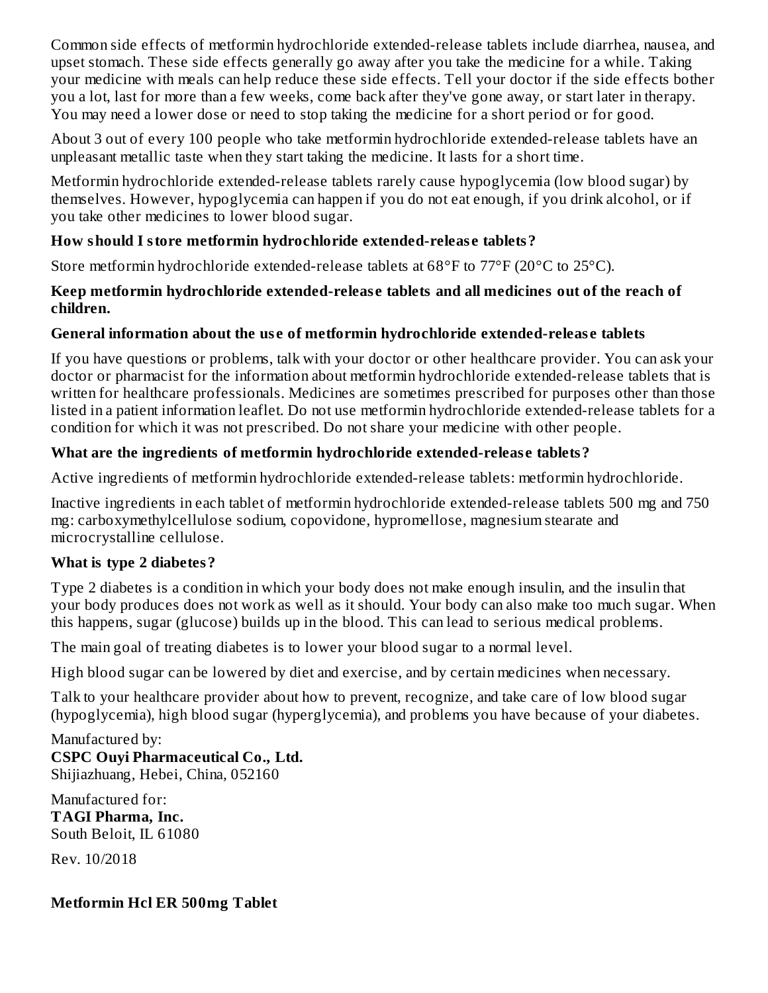Common side effects of metformin hydrochloride extended-release tablets include diarrhea, nausea, and upset stomach. These side effects generally go away after you take the medicine for a while. Taking your medicine with meals can help reduce these side effects. Tell your doctor if the side effects bother you a lot, last for more than a few weeks, come back after they've gone away, or start later in therapy. You may need a lower dose or need to stop taking the medicine for a short period or for good.

About 3 out of every 100 people who take metformin hydrochloride extended-release tablets have an unpleasant metallic taste when they start taking the medicine. It lasts for a short time.

Metformin hydrochloride extended-release tablets rarely cause hypoglycemia (low blood sugar) by themselves. However, hypoglycemia can happen if you do not eat enough, if you drink alcohol, or if you take other medicines to lower blood sugar.

### **How should I store metformin hydrochloride extended-releas e tablets?**

Store metformin hydrochloride extended-release tablets at 68°F to 77°F (20°C to 25°C).

#### **Keep metformin hydrochloride extended-releas e tablets and all medicines out of the reach of children.**

### **General information about the us e of metformin hydrochloride extended-releas e tablets**

If you have questions or problems, talk with your doctor or other healthcare provider. You can ask your doctor or pharmacist for the information about metformin hydrochloride extended-release tablets that is written for healthcare professionals. Medicines are sometimes prescribed for purposes other than those listed in a patient information leaflet. Do not use metformin hydrochloride extended-release tablets for a condition for which it was not prescribed. Do not share your medicine with other people.

### **What are the ingredients of metformin hydrochloride extended-releas e tablets?**

Active ingredients of metformin hydrochloride extended-release tablets: metformin hydrochloride.

Inactive ingredients in each tablet of metformin hydrochloride extended-release tablets 500 mg and 750 mg: carboxymethylcellulose sodium, copovidone, hypromellose, magnesium stearate and microcrystalline cellulose.

### **What is type 2 diabetes?**

Type 2 diabetes is a condition in which your body does not make enough insulin, and the insulin that your body produces does not work as well as it should. Your body can also make too much sugar. When this happens, sugar (glucose) builds up in the blood. This can lead to serious medical problems.

The main goal of treating diabetes is to lower your blood sugar to a normal level.

High blood sugar can be lowered by diet and exercise, and by certain medicines when necessary.

Talk to your healthcare provider about how to prevent, recognize, and take care of low blood sugar (hypoglycemia), high blood sugar (hyperglycemia), and problems you have because of your diabetes.

Manufactured by: **CSPC Ouyi Pharmaceutical Co., Ltd.** Shijiazhuang, Hebei, China, 052160

Manufactured for: **TAGI Pharma, Inc.** South Beloit, IL 61080

Rev. 10/2018

# **Metformin Hcl ER 500mg Tablet**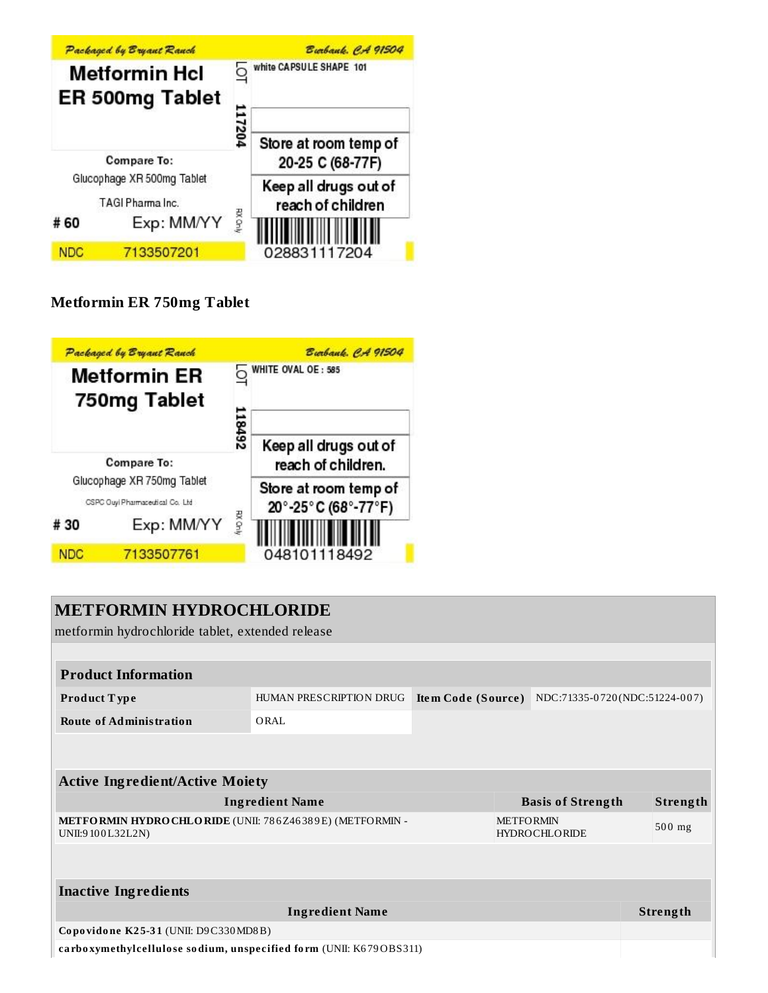

# **Metformin ER 750mg Tablet**



# **METFORMIN HYDROCHLORIDE** metformin hydrochloride tablet, extended release **Product Information Product T ype** HUMAN PRESCRIPTION DRUG **Ite m Code (Source )** NDC:71335-0 720 (NDC:51224-0 0 7) **Route of Administration** ORAL **Active Ingredient/Active Moiety Ingredient Name Basis of Strength Strength METFORMIN HYDROCHLORIDE** (UNII: 78 6Z46 38 9E) (METFORMIN - UNII:9 10 0L32L2N) METFORMIN HYDROCHLORIDE 50 0 mg **Inactive Ingredients Ingredient Name Strength Co po vido ne K2 5-3 1** (UNII: D9C330MD8B) **ca rbo xymethylcellulo se so dium, unspecified fo rm** (UNII: K6 79OBS311)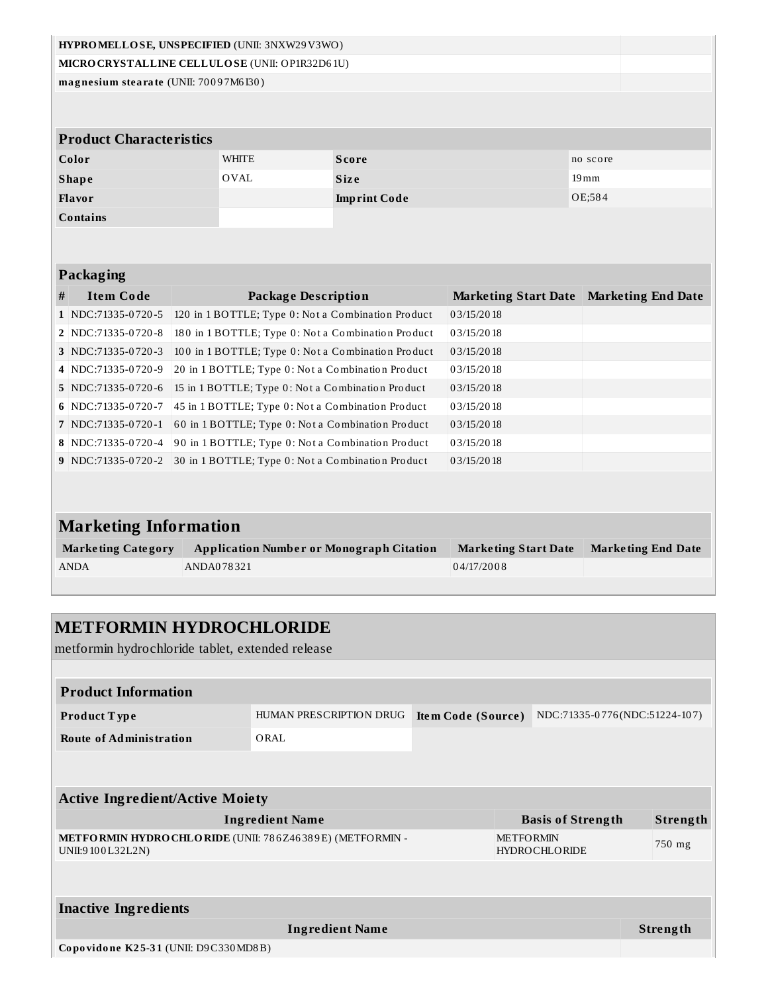| HYPROMELLOSE, UNSPECIFIED (UNII: 3NXW29V3WO)    |                                |  |                                                    |                     |                             |                           |  |  |  |
|-------------------------------------------------|--------------------------------|--|----------------------------------------------------|---------------------|-----------------------------|---------------------------|--|--|--|
| MICRO CRYSTALLINE CELLULO SE (UNII: OP1R32D61U) |                                |  |                                                    |                     |                             |                           |  |  |  |
| magnesium stearate (UNII: 70097M6I30)           |                                |  |                                                    |                     |                             |                           |  |  |  |
|                                                 |                                |  |                                                    |                     |                             |                           |  |  |  |
|                                                 |                                |  |                                                    |                     |                             |                           |  |  |  |
|                                                 | <b>Product Characteristics</b> |  |                                                    |                     |                             |                           |  |  |  |
|                                                 | Color                          |  | <b>WHITE</b>                                       | <b>Score</b>        |                             | no score                  |  |  |  |
|                                                 | <b>Shape</b>                   |  | OVAL                                               | <b>Size</b>         |                             | $19 \,\mathrm{mm}$        |  |  |  |
|                                                 | Flavor                         |  |                                                    | <b>Imprint Code</b> |                             | OE:584                    |  |  |  |
|                                                 | Contains                       |  |                                                    |                     |                             |                           |  |  |  |
|                                                 |                                |  |                                                    |                     |                             |                           |  |  |  |
|                                                 |                                |  |                                                    |                     |                             |                           |  |  |  |
|                                                 | Packaging                      |  |                                                    |                     |                             |                           |  |  |  |
| #                                               | <b>Item Code</b>               |  | <b>Package Description</b>                         |                     | <b>Marketing Start Date</b> | <b>Marketing End Date</b> |  |  |  |
|                                                 | 1 NDC:71335-0720-5             |  | 120 in 1 BOTTLE; Type 0: Not a Combination Product |                     | 03/15/2018                  |                           |  |  |  |
|                                                 | 2 NDC:71335-0720-8             |  | 180 in 1 BOTTLE; Type 0: Not a Combination Product |                     | 03/15/2018                  |                           |  |  |  |
|                                                 | 3 NDC:71335-0720-3             |  | 100 in 1 BOTTLE; Type 0: Not a Combination Product |                     | 03/15/2018                  |                           |  |  |  |
|                                                 | 4 NDC:71335-0720-9             |  | 20 in 1 BOTTLE; Type 0: Not a Combination Product  |                     | 03/15/2018                  |                           |  |  |  |
|                                                 | 5 NDC:71335-0720-6             |  | 15 in 1 BOTTLE; Type 0: Not a Combination Product  |                     | 03/15/2018                  |                           |  |  |  |
|                                                 | 6 NDC:71335-0720-7             |  | 45 in 1 BOTTLE; Type 0: Not a Combination Product  |                     | 03/15/2018                  |                           |  |  |  |
|                                                 | 7 NDC:71335-0720-1             |  | 60 in 1 BOTTLE; Type 0: Not a Combination Product  |                     | 03/15/2018                  |                           |  |  |  |
|                                                 | 8 NDC:71335-0720-4             |  | 90 in 1 BOTTLE; Type 0: Not a Combination Product  |                     | 03/15/2018                  |                           |  |  |  |
|                                                 | $9$ NDC:71335-0720-2           |  | 30 in 1 BOTTLE; Type 0: Not a Combination Product  |                     | 03/15/2018                  |                           |  |  |  |
|                                                 |                                |  |                                                    |                     |                             |                           |  |  |  |
|                                                 |                                |  |                                                    |                     |                             |                           |  |  |  |
| <b>Marketing Information</b>                    |                                |  |                                                    |                     |                             |                           |  |  |  |
|                                                 | <b>Marketing Category</b>      |  | <b>Application Number or Monograph Citation</b>    |                     | <b>Marketing Start Date</b> | <b>Marketing End Date</b> |  |  |  |
|                                                 | <b>ANDA</b>                    |  | ANDA078321                                         |                     | 04/17/2008                  |                           |  |  |  |
|                                                 |                                |  |                                                    |                     |                             |                           |  |  |  |

# **METFORMIN HYDROCHLORIDE**

metformin hydrochloride tablet, extended release

| <b>Product Information</b>                                                                            |                        |                  |                      |  |        |                 |  |  |
|-------------------------------------------------------------------------------------------------------|------------------------|------------------|----------------------|--|--------|-----------------|--|--|
| NDC:71335-0776(NDC:51224-107)<br>HUMAN PRESCRIPTION DRUG<br>Item Code (Source)<br><b>Product Type</b> |                        |                  |                      |  |        |                 |  |  |
| <b>Route of Administration</b>                                                                        | ORAL                   |                  |                      |  |        |                 |  |  |
|                                                                                                       |                        |                  |                      |  |        |                 |  |  |
|                                                                                                       |                        |                  |                      |  |        |                 |  |  |
| <b>Active Ingredient/Active Moiety</b>                                                                |                        |                  |                      |  |        |                 |  |  |
| <b>Ingredient Name</b><br><b>Basis of Strength</b>                                                    |                        |                  |                      |  |        | Strength        |  |  |
| <b>METFORMIN HYDRO CHLORIDE</b> (UNII: 786Z46389E) (METFORMIN -<br>UNII:9100L32L2N)                   |                        | <b>METFORMIN</b> | <b>HYDROCHLORIDE</b> |  | 750 mg |                 |  |  |
|                                                                                                       |                        |                  |                      |  |        |                 |  |  |
| <b>Inactive Ingredients</b>                                                                           |                        |                  |                      |  |        |                 |  |  |
|                                                                                                       | <b>Ingredient Name</b> |                  |                      |  |        | <b>Strength</b> |  |  |
| Copovidone K25-31 (UNII: D9C330MD8B)                                                                  |                        |                  |                      |  |        |                 |  |  |